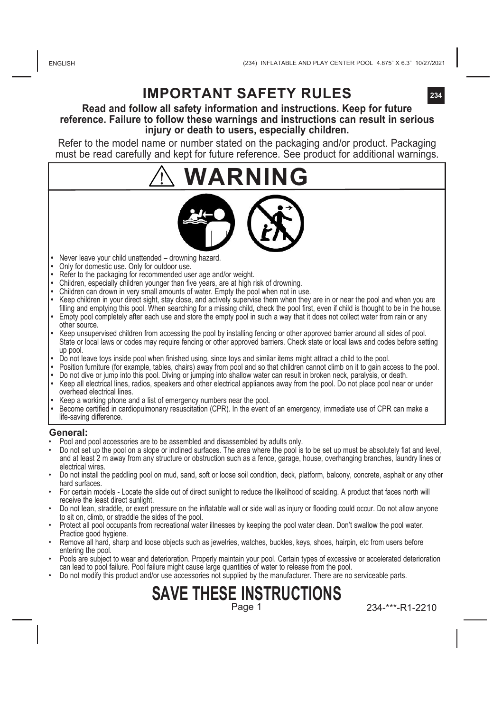## **IMPORTANT SAFETY RULES**

### **Read and follow all safety information and instructions. Keep for future reference. Failure to follow these warnings and instructions can result in serious injury or death to users, especially children.**

Refer to the model name or number stated on the packaging and/or product. Packaging must be read carefully and kept for future reference. See product for additional warnings.

# **WARNING**



- **•**  Never leave your child unattended drowning hazard.
- **Only for domestic use. Only for outdoor use.**
- **•**  Refer to the packaging for recommended user age and/or weight.
- **•**  Children, especially children younger than five years, are at high risk of drowning.
- Children can drown in very small amounts of water. Empty the pool when not in use.
- Keep children in your direct sight, stay close, and actively supervise them when they are in or hear the pool and when you are<br>filling and emptying this pool. When searching for a missing child, check the pool first, eve • Empty pool completely after each use and store the empty pool in such a way that it does not collect water from rain or any
- other source. **•** Keep unsupervised children from accessing the pool by installing fencing or other approved barrier around all sides of pool.
- State or local laws or codes may require fencing or other approved barriers. Check state or local laws and codes before setting up pool.
- **•** Do not leave toys inside pool when finished using, since toys and similar items might attract a child to the pool.
- **•** Position furniture (for example, tables, chairs) away from pool and so that children cannot climb on it to gain access to the pool. **•** Do not dive or jump into this pool. Diving or jumping into shallow water can result in broken neck, paralysis, or death.
- **•** Keep all electrical lines, radios, speakers and other electrical appliances away from the pool. Do not place pool near or under overhead electrical lines.
- **•** Keep a working phone and a list of emergency numbers near the pool.
- **•** Become certified in cardiopulmonary resuscitation (CPR). In the event of an emergency, immediate use of CPR can make a life-saving difference.

#### **General:**

- 
- Pool and pool accessories are to be assembled and disassembled by adults only. Do not set up the pool on a slope or inclined surfaces. The area where the pool is to be set up must be absolutely flat and level, and at least 2 m away from any structure or obstruction such as a fence, garage, house, overhanging branches, laundry lines or electrical wires.
- Do not install the paddling pool on mud, sand, soft or loose soil condition, deck, platform, balcony, concrete, asphalt or any other hard surfaces.
- For certain models Locate the slide out of direct sunlight to reduce the likelihood of scalding. A product that faces north will receive the least direct sunlight.
- Do not lean, straddle, or exert pressure on the inflatable wall or side wall as injury or flooding could occur. Do not allow anyone to sit on, climb, or straddle the sides of the pool.
- Protect all pool occupants from recreational water illnesses by keeping the pool water clean. Don't swallow the pool water. Practice good hygiene.
- Remove all hard, sharp and loose objects such as jewelries, watches, buckles, keys, shoes, hairpin, etc from users before entering the pool.
- Pools are subject to wear and deterioration. Properly maintain your pool. Certain types of excessive or accelerated deterioration can lead to pool failure. Pool failure might cause large quantities of water to release from the pool.
- Do not modify this product and/or use accessories not supplied by the manufacturer. There are no serviceable parts.

### **SAVE THESE INSTRUCTIONS** Page 1

234-\*\*\*-R1-2210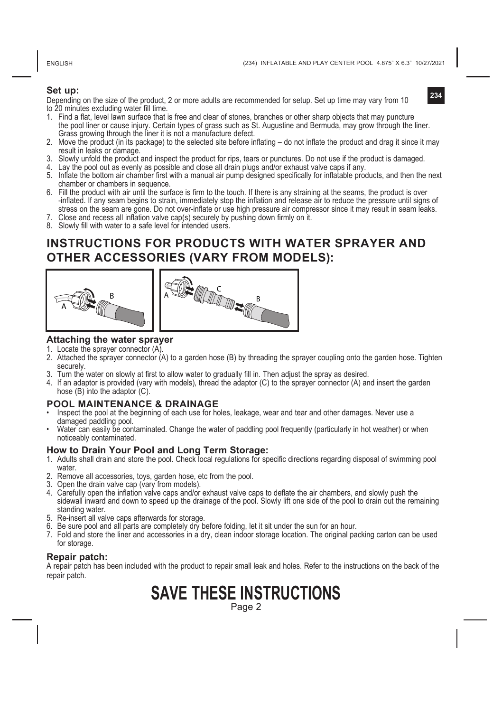ENGLISH

(234) INFLATABLE AND PLAY CENTER POOL 4.875" X 6.3" 10/27/2021

**234**

### **Set up:**

Depending on the size of the product, 2 or more adults are recommended for setup. Set up time may vary from 10 to 20 minutes excluding water fill time.



- 2. Move the product (in its package) to the selected site before inflating do not inflate the product and drag it since it may result in leaks or damage.
- 3. Slowly unfold the product and inspect the product for rips, tears or punctures. Do not use if the product is damaged.
- 4. Lay the pool out as evenly as possible and close all drain plugs and/or exhaust valve caps if any.
- 5. Inflate the bottom air chamber first with a manual air pump designed specifically for inflatable products, and then the next chamber or chambers in sequence.
- 6. Fill the product with air until the surface is firm to the touch. If there is any straining at the seams, the product is over -inflated. If any seam begins to strain, immediately stop the inflation and release air to reduce the pressure until signs of stress on the seam are gone. Do not over-inflate or use high pressure air compressor since it may result in seam leaks.
- 7. Close and recess all inflation valve cap(s) securely by pushing down firmly on it.
- 8. Slowly fill with water to a safe level for intended users.

### **INSTRUCTIONS FOR PRODUCTS WITH WATER SPRAYER AND OTHER ACCESSORIES (VARY FROM MODELS):**





### **Attaching the water sprayer**

- 1. Locate the sprayer connector (A)
- 2. Attached the sprayer connector (A) to a garden hose (B) by threading the sprayer coupling onto the garden hose. Tighten securely.
- 3. Turn the water on slowly at first to allow water to gradually fill in. Then adjust the spray as desired.
- 4. If an adaptor is provided (vary with models), thread the adaptor (C) to the sprayer connector (A) and insert the garden hose (B) into the adaptor (C).

### **POOL MAINTENANCE & DRAINAGE**

- Inspect the pool at the beginning of each use for holes, leakage, wear and tear and other damages. Never use a damaged paddling pool.
- Water can easily be contaminated. Change the water of paddling pool frequently (particularly in hot weather) or when noticeably contaminated.

#### **How to Drain Your Pool and Long Term Storage:**

- 1. Adults shall drain and store the pool. Check local regulations for specific directions regarding disposal of swimming pool water.
- 2. Remove all accessories, toys, garden hose, etc from the pool.
- 3. Open the drain valve cap (vary from models).
- 4. Carefully open the inflation valve caps and/or exhaust valve caps to deflate the air chambers, and slowly push the sidewall inward and down to speed up the drainage of the pool. Slowly lift one side of the pool to drain out the remaining standing water.
- 5. Re-insert all valve caps afterwards for storage.
- 6. Be sure pool and all parts are completely dry before folding, let it sit under the sun for an hour.
- 7. Fold and store the liner and accessories in a dry, clean indoor storage location. The original packing carton can be used for storage.

### **Repair patch:**

A repair patch has been included with the product to repair small leak and holes. Refer to the instructions on the back of the repair patch.

# **SAVE THESE INSTRUCTIONS**

Page 2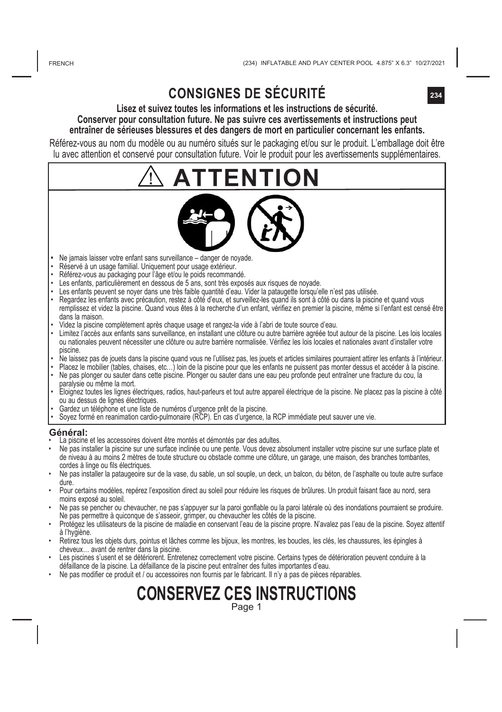## **CONSIGNES DE SÉCURITÉ**

### **Lisez et suivez toutes les informations et les instructions de sécurité. Conserver pour consultation future. Ne pas suivre ces avertissements et instructions peut entraîner de sérieuses blessures et des dangers de mort en particulier concernant les enfants.**

Référez-vous au nom du modèle ou au numéro situés sur le packaging et/ou sur le produit. L'emballage doit être lu avec attention et conservé pour consultation future. Voir le produit pour les avertissements supplémentaires.

# **ATTENTION**



- **•**  Ne jamais laisser votre enfant sans surveillance danger de noyade.
- Réservé à un usage familial. Uniquement pour usage extérieur.
- Référez-vous au packaging pour l'âge et/ou le poids recommandé.
- Les enfants, particulièrement en dessous de 5 ans, sont très exposés aux risques de noyade.
- Les enfants peuvent se noyer dans une très faible quantité d'eau. Vider la pataugette lorsqu'elle n'est pas utilisée.
- Regardez les enfants avec précaution, restez à côté d'eux, et surveillez-les quand ils sont à côté ou dans la piscine et quand vous remplissez et videz la piscine. Quand vous êtes à la recherche d'un enfant, vérifiez en premier la piscine, même si l'enfant est censé être dans la maison.
- Videz la piscine complètement après chaque usage et rangez-la vide à l'abri de toute source d'eau.
- Limitez l'accès aux enfants sans surveillance, en installant une clôture ou autre barrière agréée tout autour de la piscine. Les lois locales ou nationales peuvent nécessiter une clôture ou autre barrière normalisée. Vérifiez les lois locales et nationales avant d'installer votre piscine.
- Ne laissez pas de jouets dans la piscine quand vous ne l'utilisez pas, les jouets et articles similaires pourraient attirer les enfants à l'intérieur.
- Placez le mobilier (tables, chaises, etc…) loin de la piscine pour que les enfants ne puissent pas monter dessus et accéder à la piscine. • Ne pas plonger ou sauter dans cette piscine. Plonger ou sauter dans une eau peu profonde peut entraîner une fracture du cou, la
- → paralysie ou meme la mort.<br>• Eloignez toutes les lignes électriques, radios, haut-parleurs et tout autre appareil électrique de la piscine. Ne placez pas la piscine à côté ou au dessus de lignes électriques.
- 
- Gardez un telepnone et une liste de numeros d'urgence pret de la piscine.<br>• Soyez formé en reanimation cardio-pulmonaire (RCP). En cas d'urgence, la RCP immédiate peut sauver une vie.

#### **Général:**

- La piscine et les accessoires doivent être montés et démontés par des adultes.
- Ne pas installer la piscine sur une surface inclinée ou une pente. Vous devez absolument installer votre piscine sur une surface plate et de niveau à au moins 2 mètres de toute structure ou obstacle comme une clôture, un garage, une maison, des branches tombantes, cordes à linge ou fils électriques.
- Ne pas installer la pataugeoire sur de la vase, du sable, un sol souple, un deck, un balcon, du béton, de l'asphalte ou toute autre surface dure.
- Pour certains modèles, repérez l'exposition direct au soleil pour réduire les risques de brûlures. Un produit faisant face au nord, sera moins exposé au soleil.
- Ne pas se pencher ou chevaucher, ne pas s'appuyer sur la paroi gonflable ou la paroi latérale où des inondations pourraient se produire. Ne pas permettre à quiconque de s'asseoir, grimper, ou chevaucher les côtés de la piscine.
- Protégez les utilisateurs de la piscine de maladie en conservant l'eau de la piscine propre. N'avalez pas l'eau de la piscine. Soyez attentif à l'hygiène.
- Retirez tous les objets durs, pointus et lâches comme les bijoux, les montres, les boucles, les clés, les chaussures, les épingles à cheveux… avant de rentrer dans la piscine.
- Les piscines s'usent et se détériorent. Entretenez correctement votre piscine. Certains types de détérioration peuvent conduire à la défaillance de la piscine. La défaillance de la piscine peut entraîner des fuites importantes d'eau.
- Ne pas modifier ce produit et / ou accessoires non fournis par le fabricant. Il n'y a pas de pièces réparables.

### **CONSERVEZ CES INSTRUCTIONS** Page 1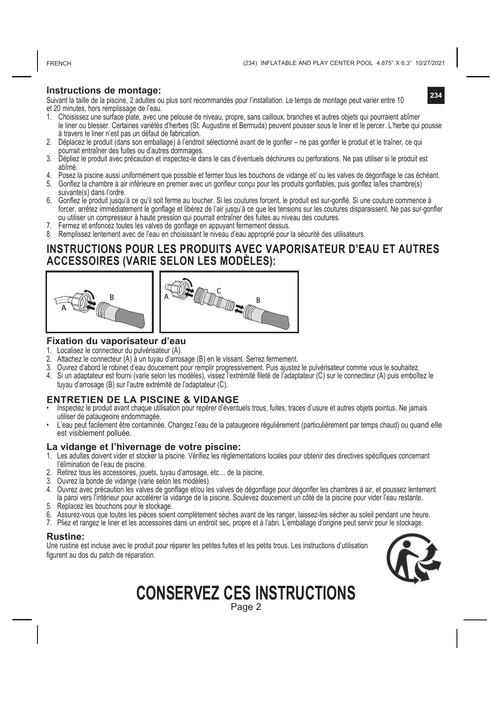FRENCH

**234**

### **Instructions de montage:**

Suivant la taille de la piscine, 2 adultes ou plus sont recommandés pour l'installation. Le temps de montage peut varier entre 10 et 20 minutes, hors remplissage de l'eau.

- 1. Choisissez une surface plate, avec une pelouse de niveau, propre, sans cailloux, branches et autres objets qui pourraient abîmer le liner ou blesser. Certaines variétés d'herbes (St. Augustine et Bermuda) peuvent pousser sous le liner et le percer. L'herbe qui pousse à travers le liner n'est pas un défaut de fabrication.
- 2. Déplacez le produit (dans son emballage) à l'endroit sélectionné avant de le gonfler ne pas gonfler le produit et le traîner, ce qui pourrait entraîner des fuites ou d'autres dommages.
- 3. Dépliez le produit avec précaution et inspectez-le dans le cas d'éventuels déchirures ou perforations. Ne pas utiliser si le produit est abîmé.
- 4. Posez la piscine aussi uniformément que possible et fermer tous les bouchons de vidange et/ ou les valves de dégonflage le cas échéant. 5. Gonflez la chambre à air inférieure en premier avec un gonfleur conçu pour les produits gonflables, puis gonflez la/les chambre(s)
- suivante(s) dans l'ordre. 6. Gonflez le produit jusqu'à ce qu'il soit ferme au toucher. Si les coutures forcent, le produit est sur-gonflé. Si une couture commence à forcer, arrêtez immédiatement le gonflage et libérez de l'air jusqu'à ce que les tensions sur les coutures disparaissent. Ne pas sur-gonfler ou utiliser un compresseur à haute pression qui pourrait entraîner des fuites au niveau des coutures.
- 7. Fermez et enfoncez toutes les valves de gonflage en appuyant fermement dessus.
- 8. Remplissez lentement avec de l'eau en choisissant le niveau d'eau approprié pour la sécurité des utilisateurs.

### **INSTRUCTIONS POUR LES PRODUITS AVEC VAPORISATEUR D'EAU ET AUTRES ACCESSOIRES (VARIE SELON LES MODÈLES):**





#### **Fixation du vaporisateur d'eau**

- 1. Localisez le connecteur du pulvérisateur (A).
- 2. Attachez le connecteur (A) à un tuyau d'arrosage (B) en le vissant. Serrez fermement.
- 3. Ouvrez d'abord le robinet d'eau doucement pour remplir progressivement. Puis ajustez le pulvérisateur comme vous le souhaitez.
- 4. Si un adaptateur est fourni (varie selon les modèles), vissez l'extrémité fileté de l'adaptateur (C) sur le connecteur (A) puis emboîtez le tuyau d'arrosage (B) sur l'autre extrémité de l'adaptateur (C).

### **ENTRETIEN DE LA PISCINE & VIDANGE**

- Inspectez le produit avant chaque utilisation pour repérer d'éventuels trous, fuites, traces d'usure et autres objets pointus. Ne jamais utiliser de pataugeoire endommagée.
- L'eau peut facilement être contaminée. Changez l'eau de la pataugeoire régulièrement (particulièrement par temps chaud) ou quand elle est visiblement polluée.

### **La vidange et l'hivernage de votre piscine:**

- 1. Les adultes doivent vider et stocker la piscine. Vérifiez les réglementations locales pour obtenir des directives spécifiques concernant l'élimination de l'eau de piscine.
- 2. Retirez tous les accessoires, jouets, tuyau d'arrosage, etc… de la piscine.
- 3. Ouvrez la bonde de vidange (varie selon les modèles).
- 4. Ouvrez avec précaution les valves de gonflage et/ou les valves de dégonflage pour dégonfler les chambres à air, et poussez lentement la paroi vers l'intérieur pour accélérer la vidange de la piscine. Soulevez doucement un côté de la piscine pour vider l'eau restante.
- 5. Replacez les bouchons pour le stockage.
- 6. Assurez-vous que toutes les pièces soient complètement sèches avant de les ranger, laissez-les sécher au soleil pendant une heure.
- 7. Pliez et rangez le liner et les accessoires dans un endroit sec, propre et à l'abri. L'emballage d'origine peut servir pour le stockage.

#### **Rustine:**

Une rustine est incluse avec le produit pour réparer les petites fuites et les petits trous. Les instructions d'utilisation figurent au dos du patch de réparation.



**CONSERVEZ CES INSTRUCTIONS**

Page 2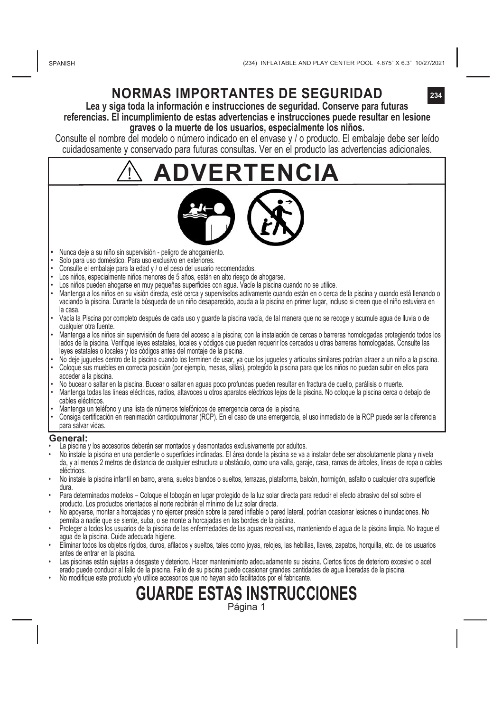## **NORMAS IMPORTANTES DE SEGURIDAD**

**Lea y siga toda la información e instrucciones de seguridad. Conserve para futuras referencias. El incumplimiento de estas advertencias e instrucciones puede resultar en lesione graves o la muerte de los usuarios, especialmente los niños.**

Consulte el nombre del modelo o número indicado en el envase y / o producto. El embalaje debe ser leído cuidadosamente y conservado para futuras consultas. Ver en el producto las advertencias adicionales.

**ADVERTENCIA**



- **•**  Nunca deje a su niño sin supervisión peligro de ahogamiento.
- Solo para uso doméstico. Para uso exclusivo en exteriores.
- Consulte el embalaje para la edad y / o el peso del usuario recomendados.
- Los niños, especialmente niños menores de 5 años, están en alto riesgo de ahogarse.
- Los niños pueden ahogarse en muy pequeñas superficies con agua. Vacíe la piscina cuando no se utilice.
- Mantenga a los niños en su visión directa, esté cerca y supervíselos activamente cuando están en o cerca de la piscina y cuando está llenando o vaciando la piscina. Durante la búsqueda de un niño desaparecido, acuda a la piscina en primer lugar, incluso si creen que el niño estuviera en la casa.
- Vacía la Piscina por completo después de cada uso y guarde la piscina vacía, de tal manera que no se recoge y acumule agua de lluvia o de cualquier otra fuente.
- Mantenga a los niños sin supervisión de fuera del acceso a la piscina; con la instalación de cercas o barreras homologadas protegiendo todos los lados de la piscina. Verifique leyes estatales, locales y códigos que pueden requerir los cercados u otras barreras homologadas. Consulte las leyes estatales o locales y los códigos antes del montaje de la piscina.
- No deje juguetes dentro de la piscina cuando los terminen de usar, ya que los juguetes y artículos similares podrían atraer a un niño a la piscina. • Coloque sus muebles en correcta posición (por ejemplo, mesas, sillas), protegido la piscina para que los niños no puedan subir en ellos para acceder a la piscina.
- No bucear o saltar en la piscina. Bucear o saltar en aguas poco profundas pueden resultar en fractura de cuello, parálisis o muerte.
- Mantenga todas las líneas eléctricas, radios, altavoces u otros aparatos eléctricos lejos de la piscina. No coloque la piscina cerca o debajo de cables eléctricos.
- Mantenga un teléfono y una lista de números telefónicos de emergencia cerca de la piscina.
- Consiga certificación en reanimación cardiopulmonar (RCP). En el caso de una emergencia, el uso inmediato de la RCP puede ser la diferencia para salvar vidas.

#### **General:**

- La piscina y los accesorios deberán ser montados y desmontados exclusivamente por adultos.
- No instale la piscina en una pendiente o superficies inclinadas. El área donde la piscina se va a instalar debe ser absolutamente plana y nivela da, y al menos 2 metros de distancia de cualquier estructura u obstáculo, como una valla, garaje, casa, ramas de árboles, líneas de ropa o cables eléctricos.
- No instale la piscina infantil en barro, arena, suelos blandos o sueltos, terrazas, plataforma, balcón, hormigón, asfalto o cualquier otra superficie dura.
- Para determinados modelos Coloque el tobogán en lugar protegido de la luz solar directa para reducir el efecto abrasivo del sol sobre el producto. Los productos orientados al norte recibirán el mínimo de luz solar directa.
- No apoyarse, montar a horcajadas y no ejercer presión sobre la pared inflable o pared lateral, podrían ocasionar lesiones o inundaciones. No permita a nadie que se siente, suba, o se monte a horcajadas en los bordes de la piscina.
- Proteger a todos los usuarios de la piscina de las enfermedades de las aguas recreativas, manteniendo el agua de la piscina limpia. No trague el agua de la piscina. Cuide adecuada higiene.
- Eliminar todos los objetos rígidos, duros, afilados y sueltos, tales como joyas, relojes, las hebillas, llaves, zapatos, horquilla, etc. de los usuarios antes de entrar en la piscina.
- Las piscinas están sujetas a desgaste y deterioro. Hacer mantenimiento adecuadamente su piscina. Ciertos tipos de deterioro excesivo o acel erado puede conducir al fallo de la piscina. Fallo de su piscina puede ocasionar grandes cantidades de agua liberadas de la piscina.
	- **GUARDE ESTAS INSTRUCCIONES** • No modifique este producto y/o utilice accesorios que no hayan sido facilitados por el fabricante.

Página 1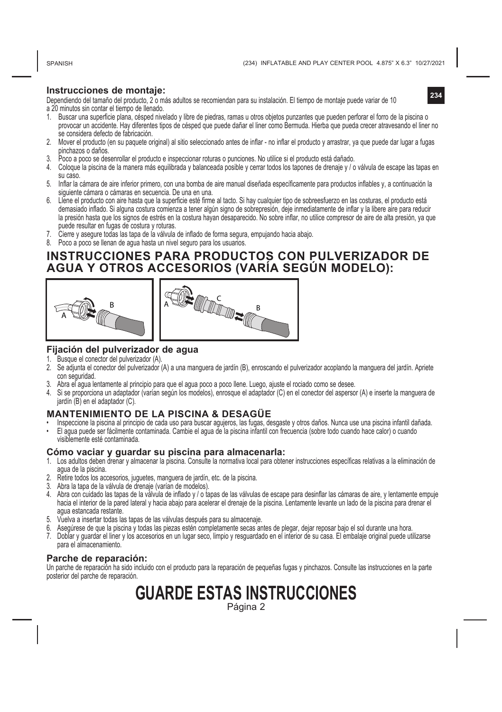SPANISH

**234**

### **Instrucciones de montaje:**

Dependiendo del tamaño del producto, 2 o más adultos se recomiendan para su instalación. El tiempo de montaje puede variar de 10 a 20 minutos sin contar el tiempo de llenado.

- 1. Buscar una superficie plana, césped nivelado y libre de piedras, ramas u otros objetos punzantes que pueden perforar el forro de la piscina o provocar un accidente. Hay diferentes tipos de césped que puede dañar el liner como Bermuda. Hierba que pueda crecer atravesando el liner no se considera defecto de fabricación.
- 2. Mover el producto (en su paquete original) al sitio seleccionado antes de inflar no inflar el producto y arrastrar, ya que puede dar lugar a fugas pinchazos o daños.
- 3. Poco a poco se desenrollar el producto e inspeccionar roturas o punciones. No utilice si el producto está dañado.
- 4. Coloque la piscina de la manera más equilibrada y balanceada posible y cerrar todos los tapones de drenaje y / o válvula de escape las tapas en su caso.
- 5. Inflar la cámara de aire inferior primero, con una bomba de aire manual diseñada específicamente para productos inflables y, a continuación la siguiente cámara o cámaras en secuencia. De una en una.
- 6. Llene el producto con aire hasta que la superficie esté firme al tacto. Si hay cualquier tipo de sobreesfuerzo en las costuras, el producto está demasiado inflado. Si alguna costura comienza a tener algún signo de sobrepresión, deje inmediatamente de inflar y la libere aire para reducir la presión hasta que los signos de estrés en la costura hayan desaparecido. No sobre inflar, no utilice compresor de aire de alta presión, ya que puede resultar en fugas de costura y roturas.
- 7. Cierre y asegure todas las tapa de la válvula de inflado de forma segura, empujando hacia abajo.
- 8. Poco a poco se llenan de agua hasta un nivel seguro para los usuarios.

### **INSTRUCCIONES PARA PRODUCTOS CON PULVERIZADOR DE AGUA Y OTROS ACCESORIOS (VARÍA SEGÚN MODELO):**



### **Fijación del pulverizador de agua**

- Busque el conector del pulverizador (A).
- 2. Se adjunta el conector del pulverizador (A) a una manguera de jardín (B), enroscando el pulverizador acoplando la manguera del jardín. Apriete con seguridad.
- 3. Abra el agua lentamente al principio para que el agua poco a poco llene. Luego, ajuste el rociado como se desee.
- 4. Si se proporciona un adaptador (varían según los modelos), enrosque el adaptador (C) en el conector del aspersor (A) e inserte la manguera de jardín (B) en el adaptador (C).

#### **MANTENIMIENTO DE LA PISCINA & DESAGÜE**

- Inspeccione la piscina al principio de cada uso para buscar agujeros, las fugas, desgaste y otros daños. Nunca use una piscina infantil dañada. • El agua puede ser fácilmente contaminada. Cambie el agua de la piscina infantil con frecuencia (sobre todo cuando hace calor) o cuando
- visiblemente esté contaminada.

### **Cómo vaciar y guardar su piscina para almacenarla:**

- 1. Los adultos deben drenar y almacenar la piscina. Consulte la normativa local para obtener instrucciones específicas relativas a la eliminación de agua de la piscina.
- 2. Retire todos los accesorios, juguetes, manguera de jardín, etc. de la piscina.
- 3. Abra la tapa de la válvula de drenaje (varían de modelos).
- 4. Abra con cuidado las tapas de la válvula de inflado y / o tapas de las válvulas de escape para desinflar las cámaras de aire, y lentamente empuje hacia el interior de la pared lateral y hacia abajo para acelerar el drenaje de la piscina. Lentamente levante un lado de la piscina para drenar el agua estancada restante.
- 5. Vuelva a insertar todas las tapas de las válvulas después para su almacenaje.
- 6. Asegúrese de que la piscina y todas las piezas estén completamente secas antes de plegar, dejar reposar bajo el sol durante una hora.
- 7. Doblar y guardar el liner y los accesorios en un lugar seco, limpio y resguardado en el interior de su casa. El embalaje original puede utilizarse para el almacenamiento.

### **Parche de reparación:**

Un parche de reparación ha sido incluido con el producto para la reparación de pequeñas fugas y pinchazos. Consulte las instrucciones en la parte posterior del parche de reparación.

### **GUARDE ESTAS INSTRUCCIONES** Página 2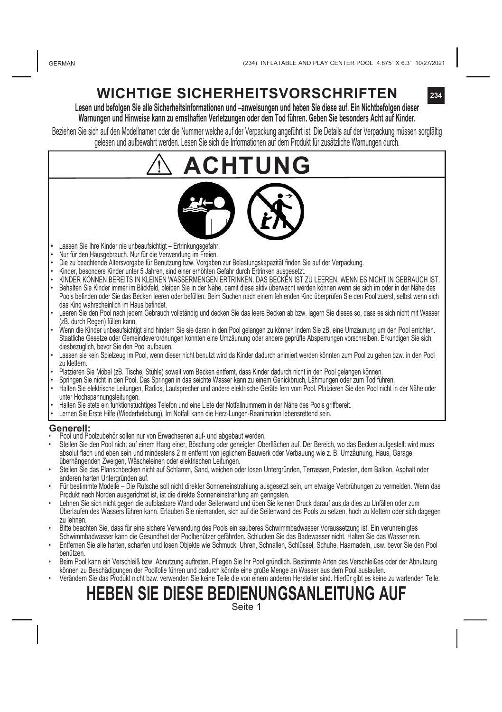## **WICHTIGE SICHERHEITSVORSCHRIFTEN**

**Lesen und befolgen Sie alle Sicherheitsinformationen und –anweisungen und heben Sie diese auf. Ein Nichtbefolgen dieser Warnungen und Hinweise kann zu ernsthaften Verletzungen oder dem Tod führen. Geben Sie besonders Acht auf Kinder.**

Beziehen Sie sich auf den Modellnamen oder die Nummer welche auf der Verpackung angeführt ist. Die Details auf der Verpackung müssen sorgfältig gelesen und aufbewahrt werden. Lesen Sie sich die Informationen auf dem Produkt für zusätzliche Warnungen durch.

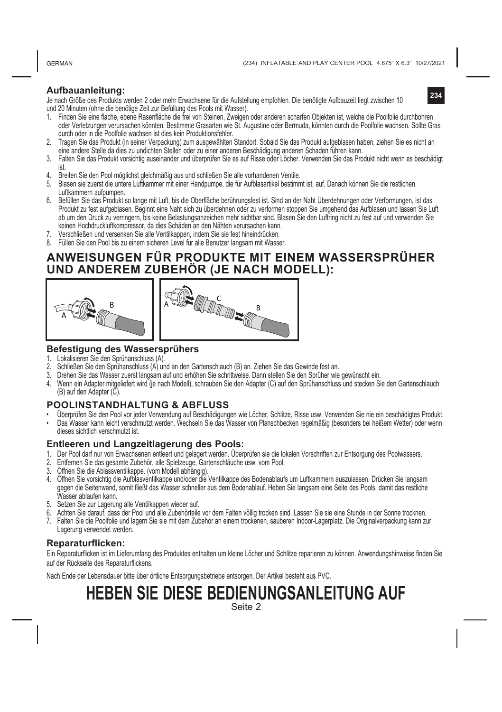GERMAN

**234**

### **Aufbauanleitung:**

Je nach Größe des Produkts werden 2 oder mehr Erwachsene für die Aufstellung empfohlen. Die benötigte Aufbauzeit liegt zwischen 10 und 20 Minuten (ohne die benötige Zeit zur Befüllung des Pools mit Wasser).

- 1. Finden Sie eine flache, ebene Rasenfläche die frei von Steinen, Zweigen oder anderen scharfen Objekten ist, welche die Poolfolie durchbohren oder Verletzungen verursachen könnten. Bestimmte Grasarten wie St. Augustine oder Bermuda, könnten durch die Poolfolie wachsen. Sollte Gras durch oder in die Poolfolie wachsen ist dies kein Produktionsfehler.
- 2. Tragen Sie das Produkt (in seiner Verpackung) zum ausgewählten Standort. Sobald Sie das Produkt aufgeblasen haben, ziehen Sie es nicht an eine andere Stelle da dies zu undichten Stellen oder zu einer anderen Beschädigung anderen Schaden führen kann.
- 3. Falten Sie das Produkt vorsichtig auseinander und überprüfen Sie es auf Risse oder Löcher. Verwenden Sie das Produkt nicht wenn es beschädigt
- ist. 4. Breiten Sie den Pool möglichst gleichmäßig aus und schließen Sie alle vorhandenen Ventile.
- 5. Blasen sie zuerst die untere Luftkammer mit einer Handpumpe, die für Aufblasartikel bestimmt ist, auf. Danach können Sie die restlichen Luftkammern aufpumpen.
- 6. Befüllen Sie das Produkt so lange mit Luft, bis die Oberfläche berührungsfest ist. Sind an der Naht Überdehnungen oder Verformungen, ist das Produkt zu fest aufgeblasen. Beginnt eine Naht sich zu überdehnen oder zu verformen stoppen Sie umgehend das Aufblasen und lassen Sie Luft ab um den Druck zu verringern, bis keine Belastungsanzeichen mehr sichtbar sind. Blasen Sie den Luftring nicht zu fest auf und verwenden Sie keinen Hochdruckluftkompressor, da dies Schäden an den Nähten verursachen kann.
- 7. Verschließen und versenken Sie alle Ventilkappen, indem Sie sie fest hineindrücken.
- 8. Füllen Sie den Pool bis zu einem sicheren Level für alle Benutzer langsam mit Wasser.

### **ANWEISUNGEN FÜR PRODUKTE MIT EINEM WASSERSPRÜHER UND ANDEREM ZUBEHÖR (JE NACH MODELL):**



### **Befestigung des Wassersprühers**

- 1. Lokalisieren Sie den Sprühanschluss (A).
- 2. Schließen Sie den Sprühanschluss (A) und an den Gartenschlauch (B) an. Ziehen Sie das Gewinde fest an.<br>3. Drehen Sie das Wasser zuerst langsam auf und erhöhen Sie schrittweise. Dann stellen Sie den Sprüher wie
- 3. Drehen Sie das Wasser zuerst langsam auf und erhöhen Sie schrittweise. Dann stellen Sie den Sprüher wie gewünscht ein.
- 4. Wenn ein Adapter mitgeliefert wird (je nach Modell), schrauben Sie den Adapter (C) auf den Sprühanschluss und stecken Sie den Gartenschlauch (B) auf den Adapter (C).

### **POOLINSTANDHALTUNG & ABFLUSS**

- 
- Uberpruien Sie den Pool vor jeder verwendung auf beschadigungen wie Locher, Schiltze, Kisse usw. Verwenden Sie hie ein beschadigtes Produkt.<br>• Das Wasser kann leicht verschmutzt werden. Wechseln Sie das Wasser von Plansc dieses sichtlich verschmutzt ist.

#### **Entleeren und Langzeitlagerung des Pools:**

- 1. Der Pool darf nur von Erwachsenen entleert und gelagert werden. Überprüfen sie die lokalen Vorschriften zur Entsorgung des Poolwassers.
- 2. Entfernen Sie das gesamte Zubehör, alle Spielzeuge, Gartenschläuche usw. vom Pool.
- 
- 3. Öffnen Sie die Ablassventilkappe. (vom Modell abhängig).<br>4. Öffnen Sie vorsichtig die Aufblasventilkappe und/oder die Ventilkappe des Bodenablaufs um Luftkammern auszulassen. Drücken Sie langsam 4. Omnen Sie vorsichug die Aurbiasvenuikappe und/oder die venuikappe des Bodenabiaurs um Lurikammern auszulassen. Drucken Sie langsam<br>gegen die Seitenward, somit fließt das Wasser schneller aus dem Bodenablauf. Heben Sie l
- 5. Setzen Sie zur Lagerung alle Ventilkappen wieder auf.
- 6. Achten Sie darauf, dass der Pool und alle Zubehörteile vor dem Falten völlig trocken sind. Lassen Sie sie eine Stunde in der Sonne trocknen.
- 7. Falten Sie die Poolfolie und lagern Sie sie mit dem Zubehör an einem trockenen, sauberen Indoor-Lagerplatz. Die Originalverpackung kann zur Lagerung verwendet werden.

### **Reparaturflicken:**

Ein Reparaturflicken ist im Lieferumfang des Produktes enthalten um kleine Löcher und Schlitze reparieren zu können. Anwendungshinweise finden Sie auf der Rückseite des Reparaturflickens.

Nach Ende der Lebensdauer bitte über örtliche Entsorgungsbetriebe entsorgen. Der Artikel besteht aus PVC.

# **HEBEN SIE DIESE BEDIENUNGSANLEITUNG AUF**

Seite 2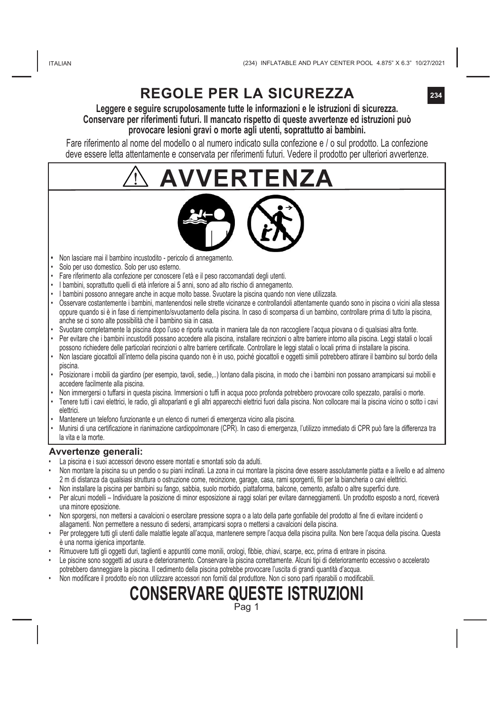### **Leggere e seguire scrupolosamente tutte le informazioni e le istruzioni di sicurezza. Conservare per riferimenti futuri. Il mancato rispetto di queste avvertenze ed istruzioni può provocare lesioni gravi o morte agli utenti, soprattutto ai bambini.**

Fare riferimento al nome del modello o al numero indicato sulla confezione e / o sul prodotto. La confezione deve essere letta attentamente e conservata per riferimenti futuri. Vedere il prodotto per ulteriori avvertenze.

# ΈN7Δ



- **•**  Non lasciare mai il bambino incustodito pericolo di annegamento.
- Solo per uso domestico. Solo per uso esterno.
- Fare riferimento alla confezione per conoscere l'età e il peso raccomandati degli utenti.
- I bambini, soprattutto quelli di età inferiore ai 5 anni, sono ad alto rischio di annegamento.
- I bambini possono annegare anche in acque molto basse. Svuotare la piscina quando non viene utilizzata.
- Osservare costantemente i bambini, mantenendosi nelle strette vicinanze e controllandoli attentamente quando sono in piscina o vicini alla stessa oppure quando si è in fase di riempimento/svuotamento della piscina. In caso di scomparsa di un bambino, controllare prima di tutto la piscina, anche se ci sono alte possibilità che il bambino sia in casa.
- Svuotare completamente la piscina dopo l'uso e riporla vuota in maniera tale da non raccogliere l'acqua piovana o di qualsiasi altra fonte. • Per evitare che i bambini incustoditi possano accedere alla piscina, installare recinzioni o altre barriere intorno alla piscina. Leggi statali o locali possono richiedere delle particolari recinzioni o altre barriere certificate. Controllare le leggi statali o locali prima di installare la piscina.
- Non lasciare giocattoli all'interno della piscina quando non è in uso, poiché giocattoli e oggetti simili potrebbero attirare il bambino sul bordo della piscina.
- Posizionare i mobili da giardino (per esempio, tavoli, sedie,..) lontano dalla piscina, in modo che i bambini non possano arrampicarsi sui mobili e accedere facilmente alla piscina.
- Non immergersi o tuffarsi in questa piscina. Immersioni o tuffi in acqua poco profonda potrebbero provocare collo spezzato, paralisi o morte.
- Tenere tutti i cavi elettrici, le radio, gli altoparlanti e gli altri apparecchi elettrici fuori dalla piscina. Non collocare mai la piscina vicino o sotto i cavi elettrici.
- Mantenere un telefono funzionante e un elenco di numeri di emergenza vicino alla piscina.
- Munirsi di una certificazione in rianimazione cardiopolmonare (CPR). In caso di emergenza, l'utilizzo immediato di CPR può fare la differenza tra la vita e la morte.

### **Avvertenze generali:**

- La piscina e i suoi accessori devono essere montati e smontati solo da adulti.
- Non montare la piscina su un pendio o su piani inclinati. La zona in cui montare la piscina deve essere assolutamente piatta e a livello e ad almeno 2 m di distanza da qualsiasi struttura o ostruzione come, recinzione, garage, casa, rami sporgenti, fili per la biancheria o cavi elettrici.
- Non installare la piscina per bambini su fango, sabbia, suolo morbido, piattaforma, balcone, cemento, asfalto o altre superfici dure.
- Per alcuni modelli Individuare la posizione di minor esposizione ai raggi solari per evitare danneggiamenti. Un prodotto esposto a nord, riceverà una minore eposizione.
- Non sporgersi, non mettersi a cavalcioni o esercitare pressione sopra o a lato della parte gonfiabile del prodotto al fine di evitare incidenti o allagamenti. Non permettere a nessuno di sedersi, arrampicarsi sopra o mettersi a cavalcioni della piscina.
- Per proteggere tutti gli utenti dalle malattie legate all'acqua, mantenere sempre l'acqua della piscina pulita. Non bere l'acqua della piscina. Questa è una norma igienica importante.
- Rimuovere tutti gli oggetti duri, taglienti e appuntiti come monili, orologi, fibbie, chiavi, scarpe, ecc, prima di entrare in piscina.
- Le piscine sono soggetti ad usura e deterioramento. Conservare la piscina correttamente. Alcuni tipi di deterioramento eccessivo o accelerato potrebbero danneggiare la piscina. Il cedimento della piscina potrebbe provocare l'uscita di grandi quantità d'acqua.
- Non modificare il prodotto e/o non utilizzare accessori non forniti dal produttore. Non ci sono parti riparabili o modificabili.

### **CONSERVARE QUESTE ISTRUZIONI** Pag 1

**234**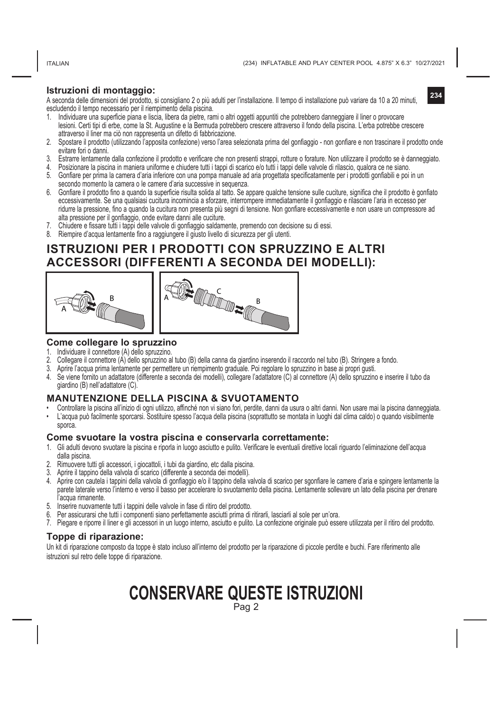ITALIAN

**234**

### **Istruzioni di montaggio:**

A seconda delle dimensioni del prodotto, si consigliano 2 o più adulti per l'installazione. Il tempo di installazione può variare da 10 a 20 minuti, escludendo il tempo necessario per il riempimento della piscina.

- 1. Individuare una superficie piana e liscia, libera da pietre, rami o altri oggetti appuntiti che potrebbero danneggiare il liner o provocare lesioni. Certi tipi di erbe, come la St. Augustine e la Bermuda potrebbero crescere attraverso il fondo della piscina. L'erba potrebbe crescere attraverso il liner ma ciò non rappresenta un difetto di fabbricazione.
- 2. Spostare il prodotto (utilizzando l'apposita confezione) verso l'area selezionata prima del gonfiaggio non gonfiare e non trascinare il prodotto onde evitare fori o danni.
- 3. Estrarre lentamente dalla confezione il prodotto e verificare che non presenti strappi, rotture o forature. Non utilizzare il prodotto se è danneggiato.
- 4. Posizionare la piscina in maniera uniforme e chiudere tutti i tappi di scarico e/o tutti i tappi delle valvole di rilascio, qualora ce ne siano.
- 5. Gonfiare per prima la camera d'aria inferiore con una pompa manuale ad aria progettata specificatamente per i prodotti gonfiabili e poi in un secondo momento la camera o le camere d'aria successive in sequenza.
- 6. Gonfiare il prodotto fino a quando la superficie risulta solida al tatto. Se appare qualche tensione sulle cuciture, significa che il prodotto è gonfiato eccessivamente. Se una qualsiasi cucitura incomincia a sforzare, interrompere immediatamente il gonfiaggio e rilasciare l'aria in eccesso per ridurre la pressione, fino a quando la cucitura non presenta più segni di tensione. Non gonfiare eccessivamente e non usare un compressore ad alta pressione per il gonfiaggio, onde evitare danni alle cuciture.
- 7. Chiudere e fissare tutti i tappi delle valvole di gonfiaggio saldamente, premendo con decisione su di essi.
- 8. Riempire d'acqua lentamente fino a raggiungere il giusto livello di sicurezza per gli utenti.

### **ISTRUZIONI PER I PRODOTTI CON SPRUZZINO E ALTRI ACCESSORI (DIFFERENTI A SECONDA DEI MODELLI):**





### **Come collegare lo spruzzino**

- 1. Individuare il connettore (A) dello spruzzino.
- 2. Collegare il connettore (A) dello spruzzino al tubo (B) della canna da giardino inserendo il raccordo nel tubo (B). Stringere a fondo.
- 3. Aprire l'acqua prima lentamente per permettere un riempimento graduale. Poi regolare lo spruzzino in base ai propri gusti.
- 4. Se viene fornito un adattatore (differente a seconda dei modelli), collegare l'adattatore (C) al connettore (A) dello spruzzino e inserire il tubo da giardino (B) nell'adattatore (C).

### **MANUTENZIONE DELLA PISCINA & SVUOTAMENTO**

- Controllare la piscina all'inizio di ogni utilizzo, affinché non vi siano fori, perdite, danni da usura o altri danni. Non usare mai la piscina danneggiata.
- L'acqua può facilmente sporcarsi. Sostituire spesso l'acqua della piscina (soprattutto se montata in luoghi dal clima caldo) o quando visibilmente sporca.

### **Come svuotare la vostra piscina e conservarla correttamente:**

- 1. Gli adulti devono svuotare la piscina e riporla in luogo asciutto e pulito. Verificare le eventuali direttive locali riguardo l'eliminazione dell'acqua dalla piscina.
- 2. Rimuovere tutti gli accessori, i giocattoli, i tubi da giardino, etc dalla piscina.
- 3. Aprire il tappino della valvola di scarico (differente a seconda dei modelli).
- 4. Aprire con cautela i tappini della valvola di gonfiaggio e/o il tappino della valvola di scarico per sgonfiare le camere d'aria e spingere lentamente la parete laterale verso l'interno e verso il basso per accelerare lo svuotamento della piscina. Lentamente sollevare un lato della piscina per drenare l'acqua rimanente.
- 5. Inserire nuovamente tutti i tappini delle valvole in fase di ritiro del prodotto.
- 6. Per assicurarsi che tutti i componenti siano perfettamente asciutti prima di ritirarli, lasciarli al sole per un'ora.
- 7. Piegare e riporre il liner e gli accessori in un luogo interno, asciutto e pulito. La confezione originale può essere utilizzata per il ritiro del prodotto.

### **Toppe di riparazione:**

Un kit di riparazione composto da toppe è stato incluso all'interno del prodotto per la riparazione di piccole perdite e buchi. Fare riferimento alle istruzioni sul retro delle toppe di riparazione.

### **CONSERVARE QUESTE ISTRUZIONI** Pag 2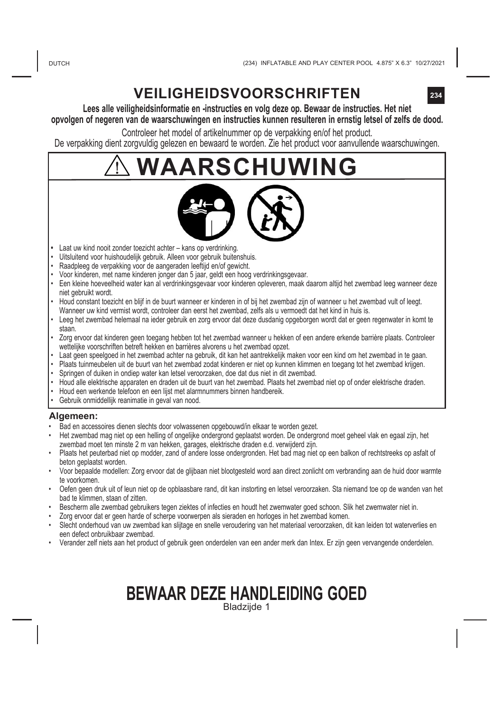## **VEILIGHEIDSVOORSCHRIFTEN**

### **Lees alle veiligheidsinformatie en -instructies en volg deze op. Bewaar de instructies. Het niet opvolgen of negeren van de waarschuwingen en instructies kunnen resulteren in ernstig letsel of zelfs de dood.**

Controleer het model of artikelnummer op de verpakking en/of het product. De verpakking dient zorgvuldig gelezen en bewaard te worden. Zie het product voor aanvullende waarschuwingen.

# **WAARSCHUWING**



- **•**  Laat uw kind nooit zonder toezicht achter kans op verdrinking.
- Uitsluitend voor huishoudelijk gebruik. Alleen voor gebruik buitenshuis.
- Raadpleeg de verpakking voor de aangeraden leeftijd en/of gewicht.
- Voor kinderen, met name kinderen jonger dan 5 jaar, geldt een hoog verdrinkingsgevaar.
- Een kleine hoeveelheid water kan al verdrinkingsgevaar voor kinderen opleveren, maak daarom altijd het zwembad leeg wanneer deze niet gebruikt wordt.
- Houd constant toezicht en blijf in de buurt wanneer er kinderen in of bij het zwembad zijn of wanneer u het zwembad vult of leegt. Wanneer uw kind vermist wordt, controleer dan eerst het zwembad, zelfs als u vermoedt dat het kind in huis is.
- Leeg het zwembad helemaal na ieder gebruik en zorg ervoor dat deze dusdanig opgeborgen wordt dat er geen regenwater in komt te staan.
- Zorg ervoor dat kinderen geen toegang hebben tot het zwembad wanneer u hekken of een andere erkende barrière plaats. Controleer wettelijke voorschriften betreft hekken en barrières alvorens u het zwembad opzet.
- Laat geen speelgoed in het zwembad achter na gebruik, dit kan het aantrekkelijk maken voor een kind om het zwembad in te gaan.
- Plaats tuinmeubelen uit de buurt van het zwembad zodat kinderen er niet op kunnen klimmen en toegang tot het zwembad krijgen.
- Springen of duiken in ondiep water kan letsel veroorzaken, doe dat dus niet in dit zwembad.
- Houd alle elektrische apparaten en draden uit de buurt van het zwembad. Plaats het zwembad niet op of onder elektrische draden.
- Houd een werkende telefoon en een lijst met alarmnummers binnen handbereik.
- Gebruik onmiddellijk reanimatie in geval van nood.

### **Algemeen:**

- Bad en accessoires dienen slechts door volwassenen opgebouwd/in elkaar te worden gezet.
- Het zwembad mag niet op een helling of ongelijke ondergrond geplaatst worden. De ondergrond moet geheel vlak en egaal zijn, het zwembad moet ten minste 2 m van hekken, garages, elektrische draden e.d. verwijderd zijn.
- Plaats het peuterbad niet op modder, zand of andere losse ondergronden. Het bad mag niet op een balkon of rechtstreeks op asfalt of beton geplaatst worden.
- Voor bepaalde modellen: Zorg ervoor dat de glijbaan niet blootgesteld word aan direct zonlicht om verbranding aan de huid door warmte te voorkomen.
- Oefen geen druk uit of leun niet op de opblaasbare rand, dit kan instorting en letsel veroorzaken. Sta niemand toe op de wanden van het bad te klimmen, staan of zitten.
- Bescherm alle zwembad gebruikers tegen ziektes of infecties en houdt het zwemwater goed schoon. Slik het zwemwater niet in.
- Zorg ervoor dat er geen harde of scherpe voorwerpen als sieraden en horloges in het zwembad komen.
- Slecht onderhoud van uw zwembad kan slijtage en snelle veroudering van het materiaal veroorzaken, dit kan leiden tot waterverlies en een defect onbruikbaar zwembad.
- Verander zelf niets aan het product of gebruik geen onderdelen van een ander merk dan Intex. Er zijn geen vervangende onderdelen.

### **BEWAAR DEZE HANDLEIDING GOED** Bladzijde 1

**234**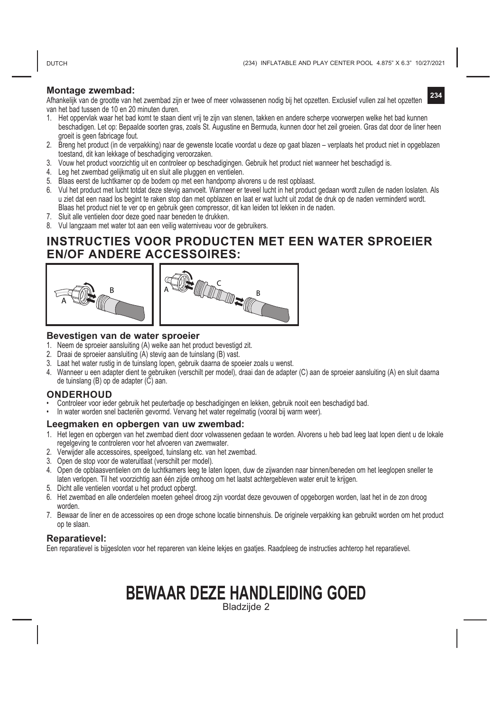**DUTCH** 

### **Montage zwembad:**

**234** Afhankelijk van de grootte van het zwembad zijn er twee of meer volwassenen nodig bij het opzetten. Exclusief vullen zal het opzetten van het bad tussen de 10 en 20 minuten duren.

- 1. Het oppervlak waar het bad komt te staan dient vrij te zijn van stenen, takken en andere scherpe voorwerpen welke het bad kunnen beschadigen. Let op: Bepaalde soorten gras, zoals St. Augustine en Bermuda, kunnen door het zeil groeien. Gras dat door de liner heen groeit is geen fabricage fout.
- 2. Breng het product (in de verpakking) naar de gewenste locatie voordat u deze op gaat blazen verplaats het product niet in opgeblazen toestand, dit kan lekkage of beschadiging veroorzaken.
- 3. Vouw het product voorzichtig uit en controleer op beschadigingen. Gebruik het product niet wanneer het beschadigd is.
- 4. Leg het zwembad gelijkmatig uit en sluit alle pluggen en ventielen.
- 5. Blaas eerst de luchtkamer op de bodem op met een handpomp alvorens u de rest opblaast.
- 6. Vul het product met lucht totdat deze stevig aanvoelt. Wanneer er teveel lucht in het product gedaan wordt zullen de naden loslaten. Als u ziet dat een naad los begint te raken stop dan met opblazen en laat er wat lucht uit zodat de druk op de naden verminderd wordt. Blaas het product niet te ver op en gebruik geen compressor, dit kan leiden tot lekken in de naden.
- 7. Sluit alle ventielen door deze goed naar beneden te drukken.
- 8. Vul langzaam met water tot aan een veilig waterniveau voor de gebruikers.

### **INSTRUCTIES VOOR PRODUCTEN MET EEN WATER SPROEIER EN/OF ANDERE ACCESSOIRES:**



### **Bevestigen van de water sproeier**

- 1. Neem de sproeier aansluiting (A) welke aan het product bevestigd zit.
- 2. Draai de sproeier aansluiting (A) stevig aan de tuinslang (B) vast.
- 3. Laat het water rustig in de tuinslang lopen, gebruik daarna de spoeier zoals u wenst.
- 4. Wanneer u een adapter dient te gebruiken (verschilt per model), draai dan de adapter (C) aan de sproeier aansluiting (A) en sluit daarna de tuinslang (B) op de adapter (C) aan.

### **ONDERHOUD**

- Controleer voor ieder gebruik het peuterbadje op beschadigingen en lekken, gebruik nooit een beschadigd bad.
- In water worden snel bacteriën gevormd. Vervang het water regelmatig (vooral bij warm weer).

#### **Leegmaken en opbergen van uw zwembad:**

- 1. Het legen en opbergen van het zwembad dient door volwassenen gedaan te worden. Alvorens u heb bad leeg laat lopen dient u de lokale regelgeving te controleren voor het afvoeren van zwemwater.
- 2. Verwijder alle accessoires, speelgoed, tuinslang etc. van het zwembad.
- 3. Open de stop voor de wateruitlaat (verschilt per model).
- 4. Open de opblaasventielen om de luchtkamers leeg te laten lopen, duw de zijwanden naar binnen/beneden om het leeglopen sneller te laten verlopen. Til het voorzichtig aan één zijde omhoog om het laatst achtergebleven water eruit te krijgen.
- 5. Dicht alle ventielen voordat u het product opbergt.
- 6. Het zwembad en alle onderdelen moeten geheel droog zijn voordat deze gevouwen of opgeborgen worden, laat het in de zon droog worden.
- 7. Bewaar de liner en de accessoires op een droge schone locatie binnenshuis. De originele verpakking kan gebruikt worden om het product op te slaan.

#### **Reparatievel:**

Een reparatievel is bijgesloten voor het repareren van kleine lekjes en gaatjes. Raadpleeg de instructies achterop het reparatievel.

### **BEWAAR DEZE HANDLEIDING GOED** Bladzijde 2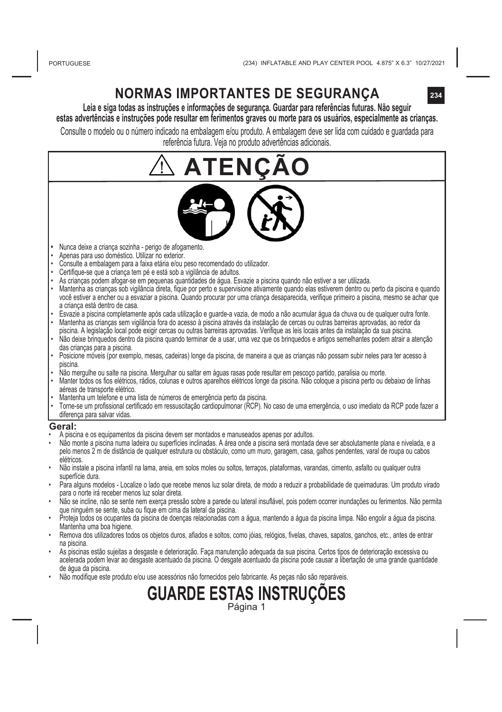### **NORMAS IMPORTANTES DE SEGURANÇA**

**Leia e siga todas as instruções e informações de segurança. Guardar para referências futuras. Não seguir estas advertências e instruções pode resultar em ferimentos graves ou morte para os usuários, especialmente as crianças.**

Consulte o modelo ou o número indicado na embalagem e/ou produto. A embalagem deve ser lida com cuidado e guardada para referência futura. Veja no produto advertências adicionais.

- **ATENÇÃO •**  Nunca deixe a criança sozinha - perigo de afogamento. Apenas para uso doméstico. Utilizar no exterior. • Consulte a embalagem para a faixa etária e/ou peso recomendado do utilizador. • Certifique-se que a criança tem pé e está sob a vigilância de adultos. • As crianças podem afogar-se em pequenas quantidades de água. Esvazie a piscina quando não estiver a ser utilizada. • Mantenha as crianças sob vigilância direta, fique por perto e supervisione ativamente quando elas estiverem dentro ou perto da piscina e quando você estiver a encher ou a esvaziar a piscina. Quando procurar por uma criança desaparecida, verifique primeiro a piscina, mesmo se achar que a criança está dentro de casa. • Esvazie a piscina completamente após cada utilização e guarde-a vazia, de modo a não acumular água da chuva ou de qualquer outra fonte. • Mantenha as crianças sem vigilância fora do acesso à piscina através da instalação de cercas ou outras barreiras aprovadas, ao redor da piscina. A legislação local pode exigir cercas ou outras barreiras aprovadas. Verifique as leis locais antes da instalação da sua piscina. Não deixe brinquedos dentro da piscina quando terminar de a usar, uma vez que os brinquedos e artigos semelhantes podem atrair a atenção das crianças para a piscina. • Posicione móveis (por exemplo, mesas, cadeiras) longe da piscina, de maneira a que as crianças não possam subir neles para ter acesso à piscina. • Não mergulhe ou salte na piscina. Mergulhar ou saltar em águas rasas pode resultar em pescoço partido, paralisia ou morte. • Manter todos os fios elétricos, rádios, colunas e outros aparelhos elétricos longe da piscina. Não coloque a piscina perto ou debaixo de linhas aéreas de transporte elétrico. • Mantenha um telefone e uma lista de números de emergência perto da piscina. • Torne-se um profissional certificado em ressuscitação cardiopulmonar (RCP). No caso de uma emergência, o uso imediato da RCP pode fazer a diferença para salvar vidas. **Geral:** • A piscina e os equipamentos da piscina devem ser montados e manuseados apenas por adultos. • Não monte a piscina numa ladeira ou superfícies inclinadas. A área onde a piscina será montada deve ser absolutamente plana e nivelada, e a pelo menos 2 m de distância de qualquer estrutura ou obstáculo, como um muro, garagem, casa, galhos pendentes, varal de roupa ou cabos elétricos. • Não instale a piscina infantil na lama, areia, em solos moles ou soltos, terraços, plataformas, varandas, cimento, asfalto ou qualquer outra superfície dura. • Para alguns modelos - Localize o lado que recebe menos luz solar direta, de modo a reduzir a probabilidade de queimaduras. Um produto virado para o norte irá receber menos luz solar direta. • Não se incline, não se sente nem exerça pressão sobre a parede ou lateral insuflável, pois podem ocorrer inundações ou ferimentos. Não permita que ninguém se sente, suba ou fique em cima da lateral da piscina. • Proteja todos os ocupantes da piscina de doenças relacionadas com a água, mantendo a água da piscina limpa. Não engolir a água da piscina. Mantenha uma boa higiene. • Remova dos utilizadores todos os objetos duros, afiados e soltos, como jóias, relógios, fivelas, chaves, sapatos, ganchos, etc., antes de entrar na piscina. • As piscinas estão sujeitas a desgaste e deterioração. Faça manutenção adequada da sua piscina. Certos tipos de deterioração excessiva ou
- acelerada podem levar ao desgaste acentuado da piscina. O desgate acentuado da piscina pode causar a libertação de uma grande quantidade de água da piscina.
- Não modifique este produto e/ou use acessórios não fornecidos pelo fabricante. As pecas não são reparáveis.

**GUARDE ESTAS INSTRUÇ**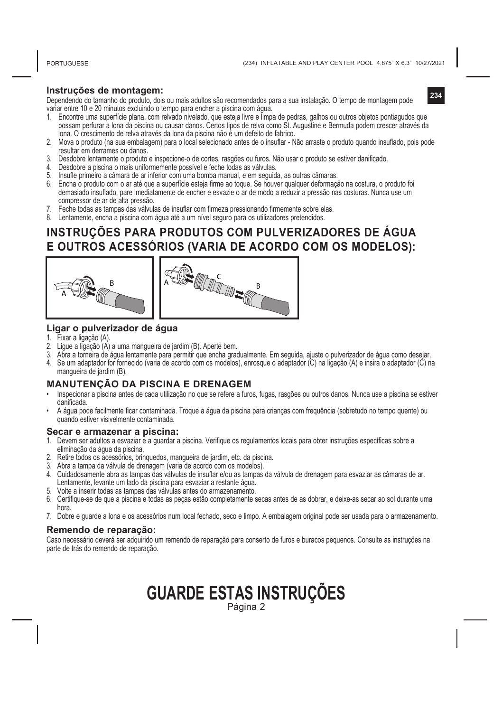#### **Instruções de montagem:**

Dependendo do tamanho do produto, dois ou mais adultos são recomendados para a sua instalação. O tempo de montagem pode variar entre 10 e 20 minutos excluindo o tempo para encher a piscina com água.

- 1. Encontre uma superfície plana, com relvado nivelado, que esteja livre e limpa de pedras, galhos ou outros objetos pontiagudos que possam perfurar a lona da piscina ou causar danos. Certos tipos de relva como St. Augustine e Bermuda podem crescer através da lona. O crescimento de relva através da lona da piscina não é um defeito de fabrico.
- 2. Mova o produto (na sua embalagem) para o local selecionado antes de o insuflar Não arraste o produto quando insuflado, pois pode resultar em derrames ou danos.
- 3. Desdobre lentamente o produto e inspecione-o de cortes, rasgões ou furos. Não usar o produto se estiver danificado.
- 4. Desdobre a piscina o mais uniformemente possível e feche todas as válvulas.
- 5. Insufle primeiro a câmara de ar inferior com uma bomba manual, e em seguida, as outras câmaras.
- 6. Encha o produto com o ar até que a superfície esteja firme ao toque. Se houver qualquer deformação na costura, o produto foi demasiado insuflado, pare imediatamente de encher e esvazie o ar de modo a reduzir a pressão nas costuras. Nunca use um compressor de ar de alta pressão.
- 7. Feche todas as tampas das válvulas de insuflar com firmeza pressionando firmemente sobre elas.
- 8. Lentamente, encha a piscina com água até a um nível seguro para os utilizadores pretendidos.

### **INSTRUÇÕES PARA PRODUTOS COM PULVERIZADORES DE ÁGUA E OUTROS ACESSÓRIOS (VARIA DE ACORDO COM OS MODELOS):**





### **Ligar o pulverizador de água**

- 1. Fixar a ligação (A).<br>2. Ligue a ligação (A)
- 2. Ligue a ligação (A) a uma mangueira de jardim (B). Aperte bem.
- 3. Abra a torneira de água lentamente para permitir que encha gradualmente. Em seguida, ajuste o pulverizador de água como desejar. 4. Se um adaptador for fornecido (varia de acordo com os modelos), enrosque o adaptador (C) na ligação (A) e insira o adaptador (C) na
- mangueira de jardim (B).

### **MANUTENÇÃO DA PISCINA E DRENAGEM**

- Inspecionar a piscina antes de cada utilização no que se refere a furos, fugas, rasgões ou outros danos. Nunca use a piscina se estiver danificada.
- A água pode facilmente ficar contaminada. Troque a água da piscina para crianças com frequência (sobretudo no tempo quente) ou quando estiver visivelmente contaminada.

#### **Secar e armazenar a piscina:**

- 1. Devem ser adultos a esvaziar e a guardar a piscina. Verifique os regulamentos locais para obter instruções específicas sobre a eliminação da água da piscina.
- 2. Retire todos os acessórios, brinquedos, mangueira de jardim, etc. da piscina.
- 3. Abra a tampa da válvula de drenagem (varia de acordo com os modelos).
- 4. Cuidadosamente abra as tampas das válvulas de insuflar e/ou as tampas da válvula de drenagem para esvaziar as câmaras de ar. Lentamente, levante um lado da piscina para esvaziar a restante água.
- 5. Volte a inserir todas as tampas das válvulas antes do armazenamento.
- 6. Certifique-se de que a piscina e todas as peças estão completamente secas antes de as dobrar, e deixe-as secar ao sol durante uma hora.
- 7. Dobre e guarde a lona e os acessórios num local fechado, seco e limpo. A embalagem original pode ser usada para o armazenamento.

#### **Remendo de reparação:**

Caso necessário deverá ser adquirido um remendo de reparação para conserto de furos e buracos pequenos. Consulte as instruções na parte de trás do remendo de reparação.

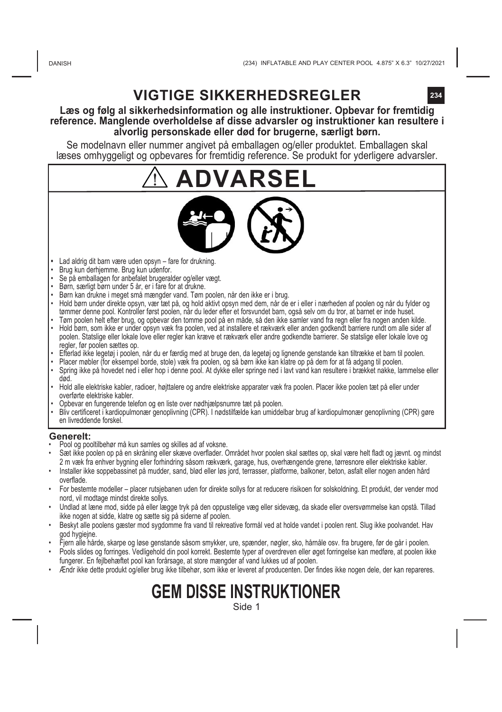## **VIGTIGE SIKKERHEDSREGLER**

### **Læs og følg al sikkerhedsinformation og alle instruktioner. Opbevar for fremtidig reference. Manglende overholdelse af disse advarsler og instruktioner kan resultere i alvorlig personskade eller død for brugerne, særligt børn.**

Se modelnavn eller nummer angivet på emballagen og/eller produktet. Emballagen skal læses omhyggeligt og opbevares for fremtidig reference. Se produkt for yderligere advarsler.

# **ADVARSEL**



- Lad aldrig dit barn være uden opsyn fare for drukning.
- Brug kun derhjemme. Brug kun udenfor.
- Se på emballagen for anbefalet brugeralder og/eller vægt.
- Børn, særligt børn under 5 år, er i fare for at drukne.
- Børn kan drukne i meget små mængder vand. Tøm poolen, når den ikke er i brug.
- Hold børn under direkte opsyn, vær tæt på, og hold aktivt opsyn med dem, når de er i eller i nærheden af poolen og når du fylder og tømmer denne pool. Kontroller først poolen, når du leder efter et forsvundet barn, også selv om du tror, at barnet er inde huset. • Tøm poolen helt efter brug, og opbevar den tomme pool på en måde, så den ikke samler vand fra regn eller fra nogen anden kilde.
- Hold børn, som ikke er under opsyn væk fra poolen, ved at installere et rækværk eller anden godkendt barriere rundt om alle sider af poolen. Statslige eller lokale love eller regler kan kræve et rækværk eller andre godkendte barrierer. Se statslige eller lokale love og regler, før poolen sættes op.
- Efterlad ikke legetøj i poolen, når du er færdig med at bruge den, da legetøj og lignende genstande kan tiltrække et barn til poolen.
- Placer møbler (for eksempel borde, stole) væk fra poolen, og så børn ikke kan klatre op på dem for at få adgang til poolen.
- Spring ikke på hovedet ned i eller hop i denne pool. At dykke eller springe ned i lavt vand kan resultere i brækket nakke, lammelse eller død.
- Hold alle elektriske kabler, radioer, højttalere og andre elektriske apparater væk fra poolen. Placer ikke poolen tæt på eller under overførte elektriske kabler.
- Opbevar en fungerende telefon og en liste over nødhjælpsnumre tæt på poolen.
- Bliv certificeret i kardiopulmonær genoplivning (CPR). I nødstilfælde kan umiddelbar brug af kardiopulmonær genoplivning (CPR) gøre en livreddende forskel.

### **Generelt:**

- Pool og pooltilbehør må kun samles og skilles ad af voksne.
- Sæt ikke poolen op på en skråning eller skæve overflader. Området hvor poolen skal sættes op, skal være helt fladt og jævnt. og mindst 2 m væk fra enhver bygning eller forhindring såsom rækværk, garage, hus, overhængende grene, tørresnore eller elektriske kabler.
- Installer ikke soppebassinet på mudder, sand, blød eller løs jord, terrasser, platforme, balkoner, beton, asfalt eller nogen anden hård overflade.
- For bestemte modeller placer rutsjebanen uden for direkte sollys for at reducere risikoen for solskoldning. Et produkt, der vender mod nord, vil modtage mindst direkte sollys.
- Undlad at læne mod, sidde på eller lægge tryk på den oppustelige væg eller sidevæg, da skade eller oversvømmelse kan opstå. Tillad ikke nogen at sidde, klatre og sætte sig på siderne af poolen.
- Beskyt alle poolens gæster mod sygdomme fra vand til rekreative formål ved at holde vandet i poolen rent. Slug ikke poolvandet. Hav god hygiejne.
- Fjern alle hårde, skarpe og løse genstande såsom smykker, ure, spænder, nøgler, sko, hårnåle osv. fra brugere, før de går i poolen.
- Pools slides og forringes. Vedligehold din pool korrekt. Bestemte typer af overdreven eller øget forringelse kan medføre, at poolen ikke fungerer. En fejlbehæftet pool kan forårsage, at store mængder af vand lukkes ud af poolen.
- Ændr ikke dette produkt og/eller brug ikke tilbehør, som ikke er leveret af producenten. Der findes ikke nogen dele, der kan repareres.

**GEM DISSE INSTRUKTIONER**

Side 1

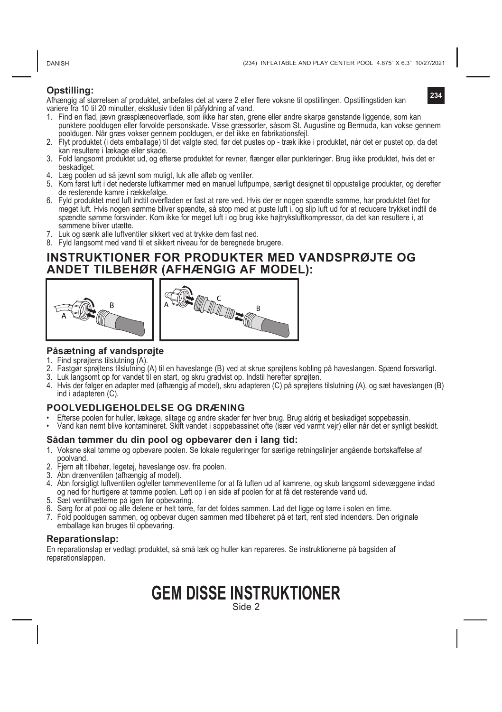**DANISH** 

**234**

### **Opstilling:**

Afhængig af størrelsen af produktet, anbefales det at være 2 eller flere voksne til opstillingen. Opstillingstiden kan variere fra 10 til 20 minutter, eksklusiv tiden til påfyldning af vand.

- 1. Find en flad, jævn græsplæneoverflade, som ikke har sten, grene eller andre skarpe genstande liggende, som kan punktere pooldugen eller forvolde personskade. Visse græssorter, såsom St. Augustine og Bermuda, kan vokse gennem pooldugen. Når græs vokser gennem pooldugen, er det ikke en fabrikationsfejl.
- 2. Flyt produktet (i dets emballage) til det valgte sted, før det pustes op træk ikke i produktet, når det er pustet op, da det kan resultere i lækage eller skade.
- 3. Fold langsomt produktet ud, og efterse produktet for revner, flænger eller punkteringer. Brug ikke produktet, hvis det er beskadiget.
- 4. Læg poolen ud så jævnt som muligt, luk alle afløb og ventiler.
- 5. Kom først luft i det nederste luftkammer med en manuel luftpumpe, særligt designet til oppustelige produkter, og derefter de resterende kamre i rækkefølge.
- 6. Fyld produktet med luft indtil overfladen er fast at røre ved. Hvis der er nogen spændte sømme, har produktet fået for meget luft. Hvis nogen sømme bliver spændte, så stop med at puste luft i, og slip luft ud for at reducere trykket indtil de spændte sømme forsvinder. Kom ikke for meget luft i og brug ikke højtryksluftkompressor, da det kan resultere i, at sømmene bliver utætte.
- 7. Luk og sænk alle luftventiler sikkert ved at trykke dem fast ned.
- 8. Fyld langsomt med vand til et sikkert niveau for de beregnede brugere.

### **INSTRUKTIONER FOR PRODUKTER MED VANDSPRØJTE OG ANDET TILBEHØR (AFHÆNGIG AF MODEL):**



### **Påsætning af vandsprøjte**

- 1. Find sprøjtens tilslutning (A).
- 2. Fastgør sprøjtens tilslutning (A) til en haveslange (B) ved at skrue sprøjtens kobling på haveslangen. Spænd forsvarligt.
- 3. Luk langsomt op for vandet til en start, og skru gradvist op. Indstil herefter sprøjten.
- 4. Hvis der følger en adapter med (afhængig af model), skru adapteren (C) på sprøjtens tilslutning (A), og sæt haveslangen (B) ind i adapteren (C).

### **POOLVEDLIGEHOLDELSE OG DRÆNING**

- Efterse poolen for huller, lækage, slitage og andre skader før hver brug. Brug aldrig et beskadiget soppebassin.
- Vand kan nemt blive kontamineret. Skift vandet i soppebassinet ofte (især ved varmt vejr) eller når det er synligt beskidt.

### **Sådan tømmer du din pool og opbevarer den i lang tid:**

- 1. Voksne skal tømme og opbevare poolen. Se lokale reguleringer for særlige retningslinjer angående bortskaffelse af poolvand.
- 2. Fjern alt tilbehør, legetøj, haveslange osv. fra poolen.
- 3. Åbn drænventilen (afhængig af model).
- 4. Åbn forsigtigt luftventilen og/eller tømmeventilerne for at få luften ud af kamrene, og skub langsomt sidevæggene indad og ned for hurtigere at tømme poolen. Løft op i en side af poolen for at få det resterende vand ud.
- 5. Sæt ventilhætterne på igen før opbevaring.
- 6. Sørg for at pool og alle delene er helt tørre, før det foldes sammen. Lad det ligge og tørre i solen en time.
- 7. Fold pooldugen sammen, og opbevar dugen sammen med tilbehøret på et tørt, rent sted indendørs. Den originale emballage kan bruges til opbevaring.

### **Reparationslap:**

En reparationslap er vedlagt produktet, så små læk og huller kan repareres. Se instruktionerne på bagsiden af reparationslappen.

### **GEM DISSE INSTRUKTIONER** Side 2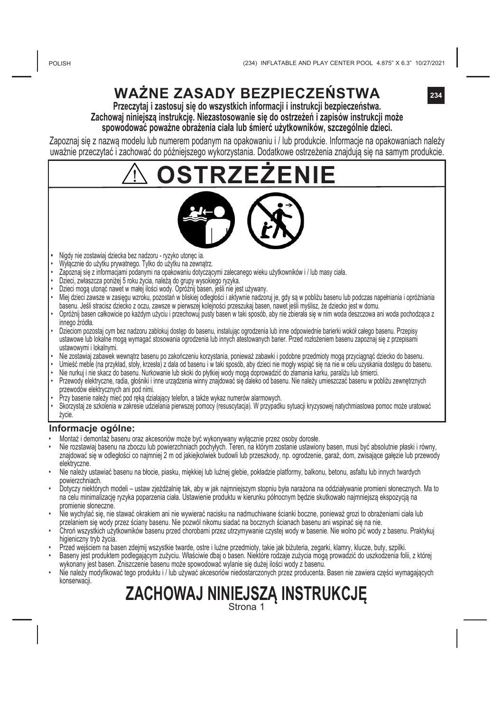## **WAŻNE ZASADY BEZPIECZEŃSTWA**

**234**

**Przeczytaj i zastosuj się do wszystkich informacji i instrukcji bezpieczeństwa. Zachowaj niniejszą instrukcję. Niezastosowanie się do ostrzeżeń i zapisów instrukcji może spowodować poważne obrażenia ciała lub śmierć użytkowników, szczególnie dzieci.**

Zapoznaj się z nazwą modelu lub numerem podanym na opakowaniu i / lub produkcie. Informacje na opakowaniach należy uważnie przeczytać i zachować do późniejszego wykorzystania. Dodatkowe ostrzeżenia znajdują się na samym produkcie.

**OSTRZEŻENIE**



- **•**  Nigdy nie zostawiaj dziecka bez nadzoru ryzyko utonęc ia.
- Wyłącznie do użytku prywatnego. Tylko do użytku na zewnątrz.
- Zapoznaj się z informacjami podanymi na opakowaniu dotyczącymi zalecanego wieku użytkowników i / lub masy ciała.
- Dzieci, zwłaszcza poniżej 5 roku życia, należą do grupy wysokiego ryzyka.
- Dzieci mogą utonąć nawet w małej ilości wody. Opróżnij basen, jeśli nie jest używany.
- Miej dzieci zawsze w zasięgu wzroku, pozostań w bliskiej odległości i aktywnie nadzoruj je, gdy są w pobliżu basenu lub podczas napełniania i opróżniania basenu. Jeśli stracisz dziecko z oczu, zawsze w pierwszej kolejności przeszukaj basen, nawet jeśli myślisz, że dziecko jest w domu.
- Opróżnij basen całkowicie po każdym użyciu i przechowuj pusty basen w taki sposób, aby nie zbierała się w nim woda deszczowa ani woda pochodząca z innego źródła.
- Dzieciom pozostaj cym bez nadzoru zablokuj dostęp do basenu, instalując ogrodzenia lub inne odpowiednie barierki wokół całego basenu. Przepisy ustawowe lub lokalne mogą wymagać stosowania ogrodzenia lub innych atestowanych barier. Przed rozłożeniem basenu zapoznaj się z przepisami ustawowymi i lokalnymi.
- Nie zostawiaj zabawek wewnątrz basenu po zakończeniu korzystania, ponieważ zabawki i podobne przedmioty mogą przyciągnąć dziecko do basenu.
- Umieść meble (na przykład, stoły, krzesła) z dala od basenu i w taki sposób, aby dzieci nie mogły wspiąć się na nie w celu uzyskania dostępu do basenu.
- Nie nurkuj i nie skacz do basenu. Nurkowanie lub skoki do płytkiej wody mogą doprowadzić do złamania karku, paraliżu lub śmierci.
- Przewody elektryczne, radia, głośniki i inne urządzenia winny znajdować się daleko od basenu. Nie należy umieszczać basenu w pobliżu zewnętrznych
- przewodów elektrycznych ani pod nimi. Przy basenie należy mieć pod ręką działający telefon, a także wykaz numerów alarmowych.
- Skorzystaj ze szkolenia w zakresie udzielania pierwszej pomocy (resuscytacja). W przypadku sytuacji kryzysowej natychmiastowa pomoc może uratować życie.

#### **Informacje ogólne:**

- Montaż i demontaż basenu oraz akcesoriów może być wykonywany wyłącznie przez osoby dorosłe.
- Nie rozstawiaj basenu na zboczu lub powierzchniach pochyłych. Teren, na którym zostanie ustawiony basen, musi być absolutnie płaski i równy, znajdować się w odległości co najmniej 2 m od jakiejkolwiek budowli lub przeszkody, np. ogrodzenie, garaż, dom, zwisające gałęzie lub przewody elektryczne.
- Nie należy ustawiać basenu na błocie, piasku, miękkiej lub luźnej glebie, pokładzie platformy, balkonu, betonu, asfaltu lub innych twardych powierzchniach.
- Dotyczy niektórych modeli ustaw zjeżdżalnię tak, aby w jak najmniejszym stopniu była narażona na oddziaływanie promieni słonecznych. Ma to na celu minimalizację ryzyka poparzenia ciała. Ustawienie produktu w kierunku północnym będzie skutkowało najmniejszą ekspozycją na promienie słoneczne.
- Nie wychylać się, nie stawać okrakiem ani nie wywierać nacisku na nadmuchiwane ścianki boczne, ponieważ grozi to obrażeniami ciała lub przelaniem się wody przez ściany basenu. Nie pozwól nikomu siadać na bocznych ścianach basenu ani wspinać się na nie.
- Chroń wszystkich użytkowników basenu przed chorobami przez utrzymywanie czystej wody w basenie. Nie wolno pić wody z basenu. Praktykuj higieniczny tryb życia.
- Przed wejściem na basen zdejmij wszystkie twarde, ostre i luźne przedmioty, takie jak biżuteria, zegarki, klamry, klucze, buty, szpilki.
- Baseny jest produktem podlegającym zużyciu. Właściwie dbaj o basen. Niektóre rodzaje zużycia mogą prowadzić do uszkodzenia folii, z której wykonany jest basen. Zniszczenie basenu może spowodować wylanie się dużej ilości wody z basenu.
- Nie należy modyfikować tego produktu i / lub używać akcesoriów niedostarczonych przez producenta. Basen nie zawiera części wymagających konserwacji.

# **ZACHOWAJ NINIEJSZĄ INSTRUKCJĘ** Strona 1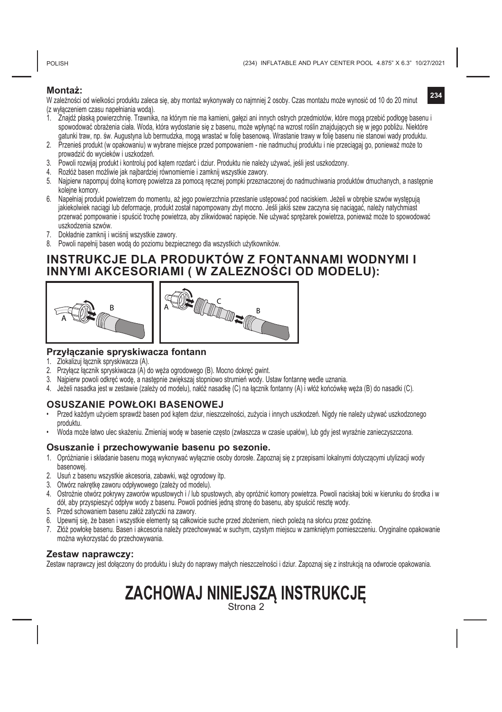POLISH

#### **Montaż:**

W zależności od wielkości produktu zaleca się, aby montaż wykonywały co najmniej 2 osoby. Czas montażu może wynosić od 10 do 20 minut (z wyłączeniem czasu napełniania wodą).

- 1. Znajdź płaską powierzchnię. Trawnika, na którym nie ma kamieni, gałęzi ani innych ostrych przedmiotów, które mogą przebić podłogę basenu i spowodować obrażenia ciała. Woda, która wydostanie się z basenu, może wpłynąć na wzrost roślin znajdujących się w jego pobliżu. Niektóre gatunki traw, np. św. Augustyna lub bermudzka, mogą wrastać w folię basenową. Wrastanie trawy w folię basenu nie stanowi wady produktu.
- 2. Przenieś produkt (w opakowaniu) w wybrane miejsce przed pompowaniem nie nadmuchuj produktu i nie przeciągaj go, ponieważ może to prowadzić do wycieków i uszkodzeń.
- 3. Powoli rozwijaj produkt i kontroluj pod kątem rozdarć i dziur. Produktu nie należy używać, jeśli jest uszkodzony.
- 4. Rozłóż basen możliwie jak najbardziej równomiernie i zamknij wszystkie zawory.
- 5. Najpierw napompuj dolną komorę powietrza za pomocą ręcznej pompki przeznaczonej do nadmuchiwania produktów dmuchanych, a następnie kolejne komory.
- 6. Napełniaj produkt powietrzem do momentu, aż jego powierzchnia przestanie ustępować pod naciskiem. Jeżeli w obrębie szwów występują jakiekolwiek naciągi lub deformacje, produkt został napompowany zbyt mocno. Jeśli jakiś szew zaczyna się naciągać, należy natychmiast przerwać pompowanie i spuścić trochę powietrza, aby zlikwidować napięcie. Nie używać sprężarek powietrza, ponieważ może to spowodować uszkodzenia szwów.
- 7. Dokładnie zamknij i wciśnij wszystkie zawory.
- 8. Powoli napełnij basen wodą do poziomu bezpiecznego dla wszystkich użytkowników.

### **INSTRUKCJE DLA PRODUKTÓW Z FONTANNAMI WODNYMI I INNYMI AKCESORIAMI ( W ZALEZNOŚCI OD MODELU):**



### **Przyłączanie spryskiwacza fontann**

- 1. Zlokalizuj łącznik spryskiwacza (A).<br>2. Przyłącz łącznik spryskiwacza (A) d
- Przyłacz łacznik spryskiwacza (A) do węża ogrodowego (B). Mocno dokręć gwint.
- 3. Najpierw powoli odkręć wodę, a następnie zwiększaj stopniowo strumień wody. Ustaw fontannę wedle uznania.
- 4. Jeżeli nasadka jest w zestawie (zależy od modelu), nałóż nasadkę (C) na łącznik fontanny (A) i włóż końcówkę węża (B) do nasadki (C).

### **OSUSZANIE POWŁOKI BASENOWEJ**

- Przed każdym użyciem sprawdź basen pod kątem dziur, nieszczelności, zużycia i innych uszkodzeń. Nigdy nie należy używać uszkodzonego produktu.
- Woda może łatwo ulec skażeniu. Zmieniaj wodę w basenie często (zwłaszcza w czasie upałów), lub gdy jest wyraźnie zanieczyszczona.

#### **Osuszanie i przechowywanie basenu po sezonie.**

- 1. Opróżnianie i składanie basenu mogą wykonywać wyłącznie osoby dorosłe. Zapoznaj się z przepisami lokalnymi dotyczącymi utylizacji wody basenowej.
- 2. Usuń z basenu wszystkie akcesoria, zabawki, wąż ogrodowy itp.
- 3. Otwórz nakrętkę zaworu odpływowego (zależy od modelu).
- 4. Ostrożnie otwórz pokrywy zaworów wpustowych i / lub spustowych, aby opróżnić komory powietrza. Powoli naciskaj boki w kierunku do środka i w dół, aby przyspieszyć odpływ wody z basenu. Powoli podnieś jedną stronę do basenu, aby spuścić resztę wody.
- 5. Przed schowaniem basenu załóż zatyczki na zawory.
- 6. Upewnij się, że basen i wszystkie elementy są całkowicie suche przed złożeniem, niech poleżą na słońcu przez godzinę.
- 7. Złóż powłokę basenu. Basen i akcesoria należy przechowywać w suchym, czystym miejscu w zamkniętym pomieszczeniu. Oryginalne opakowanie można wykorzystać do przechowywania.

#### **Zestaw naprawczy:**

Zestaw naprawczy jest dołączony do produktu i służy do naprawy małych nieszczelności i dziur. Zapoznaj się z instrukcją na odwrocie opakowania.

# **ZACHOWAJ NINIEJSZĄ INSTRUKCJĘ** Strona 2

**234**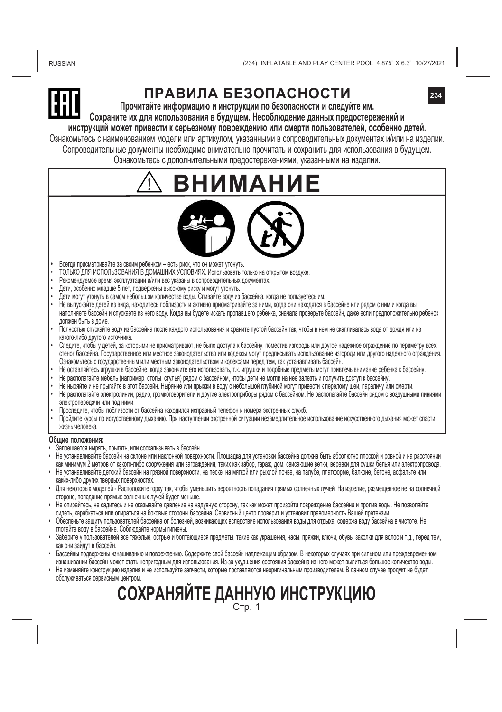RUSSIAN

The Customs union Commission has approved by its Decision of 15.07.2011 No.711 Graphic representation of the single mark and "Regulation on the single mark for

regulations, and meet all requirements of the Customs union technical regulations



## **ПРАВИЛА БЕЗОПАСНОСТИ**

**Прочитайте информацию и инструкции по безопасности и следуйте им. Сохраните их для использования в будущем. Несоблюдение данных предостережений и**

**инструкций может привести к серьезному повреждению или смерти пользователей, особенно детей.**

Ознакомьтесь с наименованием модели или артикулом, указанными в сопроводительных документах и/или на изделии. Сопроводительные документы необходимо внимательно прочитать и сохранить для использования в будущем.

Ознакомьтесь с дополнительными предостережениями, указанными на изделии.

# **ВМА**



- Всегда присматривайте за своим ребенком есть риск, что он может утонуть.
- ТОЛЬКО ДЛЯ ИСПОЛЬЗОВАНИЯ В ДОМАШНИХ УСЛОВИЯХ. Использовать только на открытом воздухе.
- Рекомендуемое время эксплуатации и/или вес указаны в сопроводительных документах.
- 
- 
- дети, осооенно младше э лет, подвержены высокому риску и могут утонуть.<br>• Дети могут утонуть в самом небольшом количестве воды. Сливайте воду из бассейна, когда не пользуетесь им<br>• Не выпускайте детей из вид наполняете бассейн и спускаете из него воду. Когда вы будете искать пропавшего ребенка, сначала проверьте бассейн, даже если предположительно ребенок должен быть в доме.
- Полностью спускайте воду из бассейна после каждого использования и храните пустой бассейн так, чтобы в нем не скапливалась вода от дождя или из какого-либо другого источника.
- Следите, чтобы у детей, за которыми не присматривают, не было доступа к бассейну, поместив изгородь или другое надежное ограждение по периметру всех стенок бассейна. Государственное или местное законодательство или кодексы могут предписывать использование изгороди или другого надежного ограждения. Ознакомьтесь с государственным или местным законодательством и кодексами перед тем, как устанавливать бассейн.
- Не оставляйтесь игрушки в бассейне, когда закончите его использовать, т.к. игрушки и подобные предметы могут привлечь внимание ребенка к бассейну.
- Не располагайте мебель (например, столы, стулья) рядом с бассейном, чтобы дети не могли на нее залезть и получить доступ к бассейну.
- Не ныряйте и не прыгайте в этот бассейн. Ныряние или прыжки в воду с небольшой глубиной могут привести к перелому шеи, параличу или смерти.
- Не располагайте электролинии, радио, громкоговорители и другие электроприборы рядом с бассейном. Не располагайте бассейн рядом с воздушными линиями электропередачи или под ними.
- Проследите, чтобы поблизости от бассейна находился исправный телефон и номера экстренных служб.
- Пройдите курсы по искусственному дыханию. При наступлении экстренной ситуации незамедлительное использование искусственного дыхания может спасти жизнь человека.

#### **Общие положения:**

- Запрещается нырять, прыгать, или соскальзывать в бассейн.
- Не устанавливайте бассейн на склоне или наклонной поверхности. Площадка для установки бассейна должна быть абсолютно плоской и ровной и на расстоянии как минимум 2 метров от какого-либо сооружения или заграждения, таких как забор, гараж, дом, свисающие ветки, веревки для сушки белья или электропровода. • Не устанавливайте детский бассейн на грязной поверхности, на песке, на мягкой или рыхлой почве, на палубе, платформе, балконе, бетоне, асфальте или
- каких-либо других твердых поверхностях. • Для некоторых моделей - Расположите горку так, чтобы уменьшить вероятность попадания прямых солнечных лучей. На изделие, размещенное не на солнечной стороне, попадание прямых солнечных лучей будет меньше.
- Не опирайтесь, не садитесь и не оказывайте давление на надувную сторону, так как может произойти повреждение бассейна и пролив воды. Не позволяйте сидеть, карабкаться или опираться на боковые стороны бассейна. Сервисный центр проверит и установит правомерность Вашей претензии.
- Обеспечьте защиту пользователей бассейна от болезней, возникающих вследствие использования воды для отдыха, содержа воду бассейна в чистоте. Не глотайте воду в бассейне. Соблюдайте нормы гигиены.
- Заберите у пользователей все тяжелые, острые и болтающиеся предметы, такие как украшения, часы, пряжки, ключи, обувь, заколки для волос и т.д., перед тем, как они зайдут в бассейн.
- Бассейны подвержены изнашиванию и повреждению. Содержите свой бассейн надлежащим образом. В некоторых случаях при сильном или преждевременном изнашивании бассейн может стать непригодным для использования. Из-за ухудшения состояния бассейна из него может вылиться большое количество воды.
- Не изменяйте конструкцию изделия и не используйте запчасти, которые поставляются неоригинальным производителем. В данном случае продукт не будет обслуживаться сервисным центром.

### **СОХРАНЯЙТЕ ДАННУЮ ИНСТРУКЦИЮ** Стр. 1

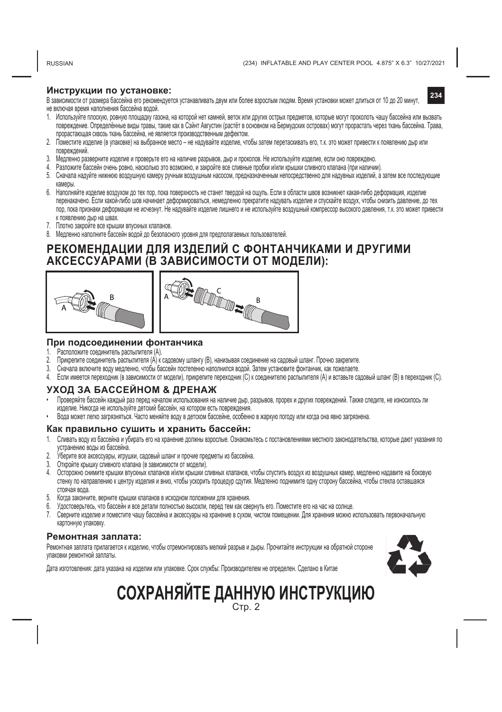RUSSIAN

**234**

#### **Инструкции по установке:**

В зависимости от размера бассейна его рекомендуется устанавливать двум или более взрослым людям. Время установки может длиться от 10 до 20 минут, не включая время наполнения бассейна водой.

- 1. Используйте плоскую, ровную площадку газона, на которой нет камней, веток или других острых предметов, которые могут проколоть чашу бассейна или вызвать повреждение. Определённые виды травы, такие как в Сэйнт Августин (растёт в основном на Бермудских островах) могут прорастать через ткань бассейна. Трава, прорастающая сквозь ткань бассейна, не является производственным дефектом.
- 2. Поместите изделие (в упаковке) на выбранное место не надувайте изделие, чтобы затем перетаскивать его, т.к. это может привести к появлению дыр или повреждений.
- 3. Медленно разверните изделие и проверьте его на наличие разрывов, дыр и проколов. Не используйте изделие, если оно повреждено.
- 4. Разложите бассейн очень ровно, насколько это возможно, и закройте все сливные пробки и/или крышки сливного клапана (при наличии).
- 5. Сначала надуйте нижнюю воздушную камеру ручным воздушным насосом, предназначенным непосредственно для надувных изделий, а затем все последующие камеры.
- 6. Наполняйте изделие воздухом до тех пор, пока поверхность не станет твердой на ощупь. Если в области швов возникнет какая-либо деформация, изделие перенакачено. Если какой-либо шов начинает деформироваться, немедленно прекратите надувать изделие и спускайте воздух, чтобы снизить давление, до тех пор, пока признаки деформации не исчезнут. Не надувайте изделие лишнего и не используйте воздушный компрессор высокого давления, т.к. это может привести к появлению дыр на швах.
- 7. Плотно закройте все крышки впускных клапанов.
- 8. Медленно наполните бассейн водой до безопасного уровня для предполагаемых пользователей.

### **РЕКОМЕНДАЦИИ ДЛЯ ИЗДЕЛИЙ С ФОНТАНЧИКАМИ И ДРУГИМИ АКСЕССУАРАМИ (В ЗАВИСИМОСТИ ОТ МОДЕЛИ):**





#### **При подсоединении фонтанчика**

- 1. Расположите соединитель распылителя (А)<br>2. Прикрепите соединитель распылителя (А) к
- 2. Прикрепите соединитель распылителя (А) к садовому шлангу (В), нанизывая соединение на садовый шланг. Прочно закрепите.
- 3. Сначала включите воду медленно, чтобы бассейн постепенно наполнился водой. Затем установите фонтанчик, как пожелаете.
- 4. Если имеется переходник (в зависимости от модели), прикрепите переходник (С) к соединителю распылителя (А) и вставьте садовый шланг (В) в переходник (С).

### **УХОД ЗА БАССЕЙНОМ & ДРЕНАЖ**

- Проверяйте бассейн каждый раз перед началом использования на наличие дыр, разрывов, прорех и других повреждений. Также следите, не износилось ли изделие. Никогда не используйте детский бассейн, на котором есть повреждения.
- Вода может легко загрязняться. Часто меняйте воду в детском бассейне, особенно в жаркую погоду или когда она явно загрязнена.

#### **Как правильно сушить и xранить бассейн:**

- 1. Сливать воду из бассейна и убирать его на хранение должны взрослые. Ознакомьтесь с постановлениями местного законодательства, которые дают указания по устранению воды из бассейна.
- 2. Уберите все аксессуары, игрушки, садовый шланг и прочие предметы из бассейна.<br>3. Откройте крышку сливного кладана (в зависимости от молели)
- 3. Откройте крышку сливного клапана (в зависимости от модели).
- 4. Осторожно снимите крышки впускных клапанов и/или крышки сливных клапанов, чтобы спустить воздух из воздушных камер, медленно надавите на боковую стенку по направлению к центру изделия и вниз, чтобы ускорить процедур сдутия. Медленно поднимите одну сторону бассейна, чтобы стекла оставшаяся стоячая вода.
- 5. Когда закончите, верните крышки клапанов в исходном положении для хранения.
- 6. Удостоверьтесь, что бассейн и все детали полностью высохли, перед тем как свернуть его. Поместите его на час на солнце.
- 7. Сверните изделие и поместите чашу бассейна и аксессуары на хранение в сухом, чистом помещении. Для хранения можно использовать первоначальную картонную упаковку.

#### **Ремонтная заплата:**

Ремонтная заплата прилагается к изделию, чтобы отремонтировать мелкий разрыв и дыры. Прочитайте инструкции на обратной стороне упаковки ремонтной заплаты.



Дата изготовления: дата указана на изделии или упаковке. Срок службы: Производителем не определен. Сделано в Китае

### **СОХРАНЯЙТЕ ДАННУЮ ИНСТРУКЦИЮ** Стр. 2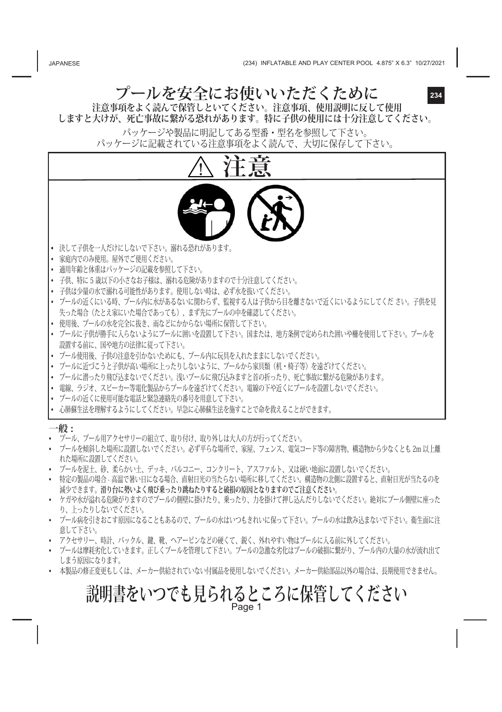**プールを安全にお使いいただくために**

**234**

**注意事項をよく読んで保管しといてください。注意事項、使用説明に反して使用 しますと大けが、死亡事故に繋がる恐れがあります。特に子供の使用には十分注意してください。**

> パッケージや製品に明記してある型番・型名を参照して下さい。 パッケージに記載されている注意事項をよく読んで、大切に保存して下さい。



- 特定の製品の場合 高温で暑い日になる場合、直射日光の当たらない場所に移してください。構造物の北側に設置すると、直射日光が当たるのを 減少できます。**滑り台に勢いよく飛び乗ったり跳ねたりすると破損の原因となりますのでご注意ください。**
- ケガや水が溢れる危険がりますのでプールの側壁に掛けたり、乗ったり、力を掛けて押し込んだりしないでください。絶対にプール側壁に座った り、上ったりしないでください。
- プール病を引きおこす原因になることもあるので、プールの水はいつもきれいに保って下さい。プールの水は飲み込まないで下さい。衛生面に注 意して下さい。
- アクセサリー、時計、バックル、鍵、靴、ヘアーピンなどの硬くて、鋭く、外れやすい物はプールに入る前に外してください。
- プールは摩耗劣化していきます。正しくプールを管理して下さい。プールの急激な劣化はプールの破損に繋がり、プール内の大量の水が流れ出て しまう原因になります。
- 本製品の修正変更もしくは、メーカー供給されていない付属品を使用しないでください。メーカー供給部品以外の場合は、長期使用できません。

### **説明書をいつでも見られるところに保管してください** Page 1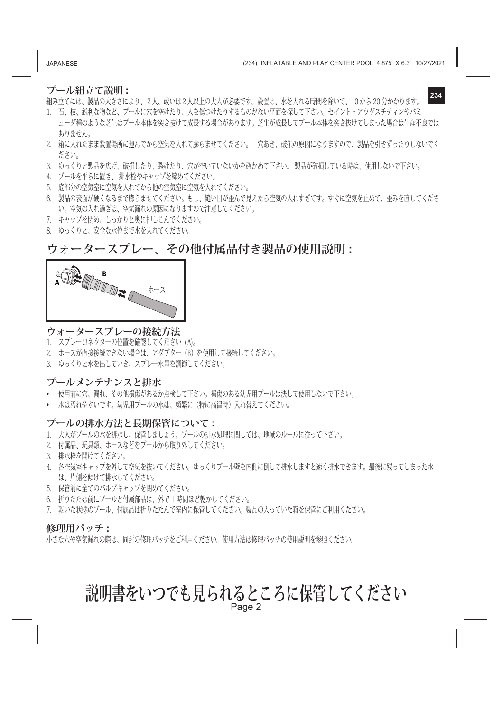JAPANESE

**234**

### **プール組立て説明 :**

組み立てには、製品の大きさにより、2人、或いは2人以上の大人が必要です。設置は、水を入れる時間を除いて、10 から 20 分かかります。

- 1. 石、枝、鋭利な物など、プールに穴を空けたり、人を傷つけたりするものがない平面を探して下さい。セイント・アウグスチティンやバミ ューダ種のような芝生はプール本体を突き抜けて成長する場合があります。芝生が成長してプール本体を突き抜けてしまった場合は生産不良では ありません。
- 2. 箱に入れたまま設置場所に運んでから空気を入れて膨らませてください。‐穴あき、破損の原因になりますので、製品を引きずったりしないでく ださい。
- 3. ゆっくりと製品を広げ、破損したり、裂けたり、穴が空いていないかを確かめて下さい。 製品が破損している時は、使用しないで下さい。
- 4. プールを平らに置き、 排水栓やキャップを締めてください。
- 5. 底部分の空気室に空気を入れてから他の空気室に空気を入れてください。
- 6. 製品の表面が硬くなるまで膨らませてください。もし、縫い目が歪んで見えたら空気の入れすぎです。すぐに空気を止めて、歪みを直してくださ い。空気の入れ過ぎは、空気漏れの原因になりますので注意してください。
- 7. キャップを閉め、しっかりと奥に押しこんでください。
- 8. ゆっくりと、安全な水位まで水を入れてください。

### **ウォータースプレー、その他付属品付き製品の使用説明 :**

| R<br>n<br>ホース<br>$\tilde{\phantom{a}}$ |
|----------------------------------------|
|----------------------------------------|

### **ウォータースプレーの接続方法**

- 1. スプレーコネクターの位置を確認してください (A)。
- 2. ホースが直接接続できない場合は、アダプター(B)を使用して接続してください。
- 3. ゆっくりと水を出していき、スプレー水量を調節してください。

### **プールメンテナンスと排水**

- 使用前に穴、漏れ、その他損傷があるか点検して下さい。損傷のある幼児用プールは決して使用しないで下さい。
- 水は汚れやすいです。幼児用プールの水は、頻繁に(特に高温時)入れ替えてください。

### **プールの排水方法と長期保管について :**

- 1. 大人がプールの水を排水し、保管しましょう。プールの排水処理に関しては、地域のルールに従って下さい。
- 2. 付属品、玩具類、ホースなどをプールから取り外してください。
- 3. 排水栓を開けてください。
- 4. 各空気室キャップを外して空気を抜いてください。ゆっくりプール壁を内側に倒して排水しますと速く排水できます。最後に残ってしまった水 は、片側を傾けて排水してください。
- 5. 保管前に全てのバルブキャップを閉めてください。
- 6. 折りたたむ前にプールと付属部品は、外で 1 時間ほど乾かしてください。
- 7. 乾いた状態のプール、付属品は折りたたんで室内に保管してください。製品の入っていた箱を保管にご利用ください。

### **修理用パッチ :**

小さな穴や空気漏れの際は、同封の修理パッチをご利用ください。使用方法は修理パッチの使用説明を参照ください。

# **説明書をいつでも見られるところに保管してください** Page 2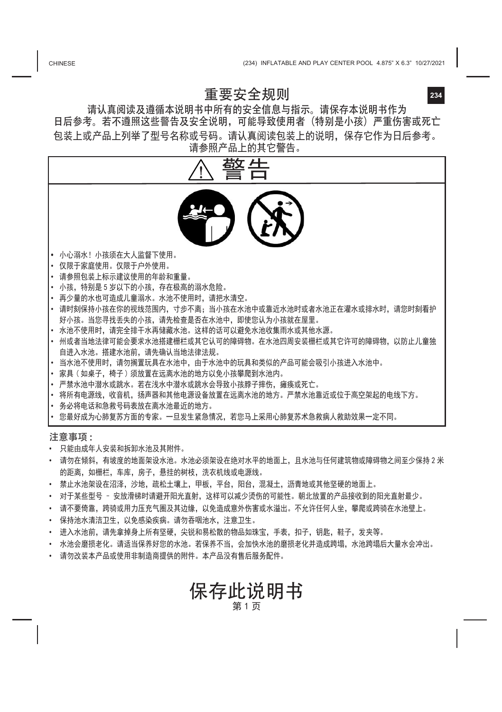### 重要安全规则

请认真阅读及遵循本说明书中所有的安全信息与指示。请保存本说明书作为 日后参考。若不遵照这些警告及安全说明,可能导致使用者(特别是小孩)严重伤害或死亡 包装上或产品上列举了型号名称或号码。请认真阅读包装上的说明,保存它作为日后参考。 请参照产品上的其它警告。



- 的距离,如栅栏,车库,房子,悬挂的树枝,洗衣机线或电源线。
- 禁止水池架设在沼泽, 沙地, 疏松土壤上, 甲板, 平台, 阳台, 混凝土, 沥青地或其他坚硬的地面上。
- 对于某些型号 安放滑梯时请避开阳光直射,这样可以减少烫伤的可能性。朝北放置的产品接收到的阳光直射最少。
- 请不要倚靠,跨骑或用力压充气圈及其边缘,以免造成意外伤害或水溢出。不允许任何人坐,攀爬或跨骑在水池壁上。
- 保持池水清洁卫生,以免感染疾病。请勿吞咽池水,注意卫生。
- 进入水池前,请先拿掉身上所有坚硬,尖锐和易松散的物品如珠宝,手表,扣子,钥匙,鞋子,发夹等。
- 水池会磨损老化。请适当保养好您的水池。若保养不当,会加快水池的磨损老化并造成跨塌,水池跨塌后大量水会冲出。
- 请勿改装本产品或使用非制造商提供的附件。本产品没有售后服务配件。

保存此说明书 第1页